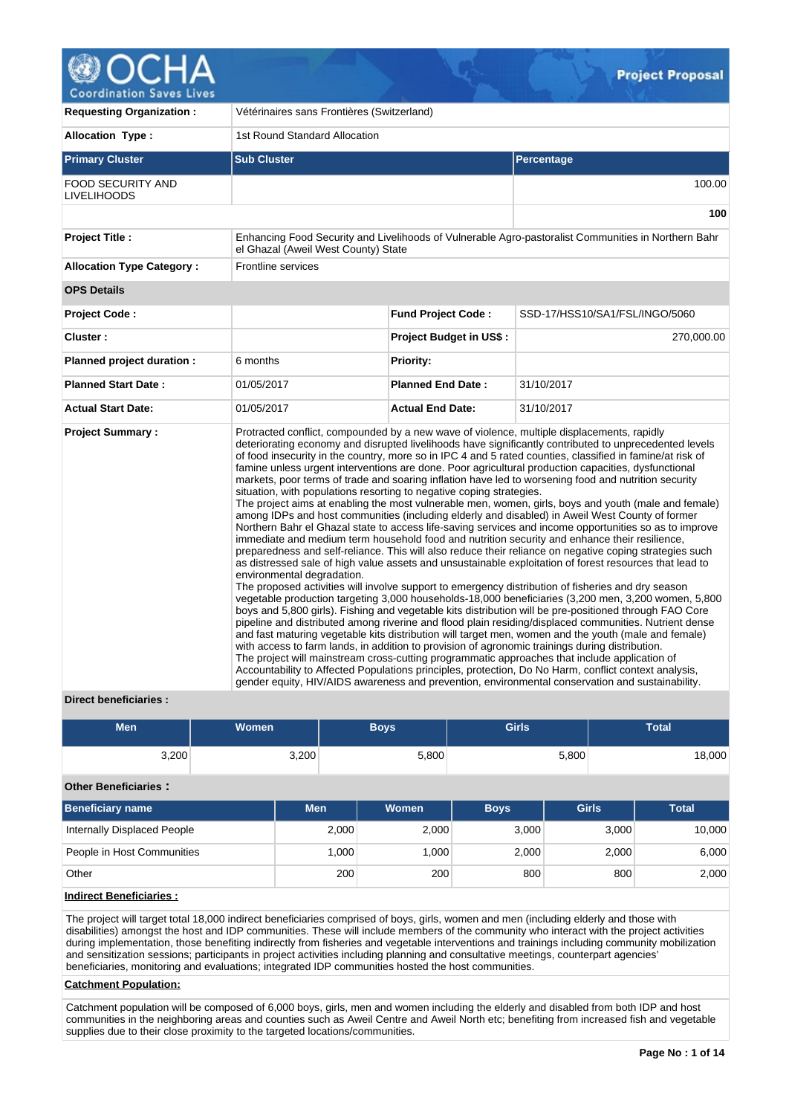

| <b>Requesting Organization:</b>                | Vétérinaires sans Frontières (Switzerland)                                                                                                                                                            |                                |                                                                                                                                                                                                                                                                                                                                                                                                                                                                                                                                                                                                                                                                                                                                                                                                                                                                                                                                                                                                                                                                                                                                                                                                                                                                                                                                                                                                                                                                                                                                                                                                                                                                                                                                                                                                                                                                                                                                                                                                                                     |  |  |  |
|------------------------------------------------|-------------------------------------------------------------------------------------------------------------------------------------------------------------------------------------------------------|--------------------------------|-------------------------------------------------------------------------------------------------------------------------------------------------------------------------------------------------------------------------------------------------------------------------------------------------------------------------------------------------------------------------------------------------------------------------------------------------------------------------------------------------------------------------------------------------------------------------------------------------------------------------------------------------------------------------------------------------------------------------------------------------------------------------------------------------------------------------------------------------------------------------------------------------------------------------------------------------------------------------------------------------------------------------------------------------------------------------------------------------------------------------------------------------------------------------------------------------------------------------------------------------------------------------------------------------------------------------------------------------------------------------------------------------------------------------------------------------------------------------------------------------------------------------------------------------------------------------------------------------------------------------------------------------------------------------------------------------------------------------------------------------------------------------------------------------------------------------------------------------------------------------------------------------------------------------------------------------------------------------------------------------------------------------------------|--|--|--|
| <b>Allocation Type:</b>                        | 1st Round Standard Allocation                                                                                                                                                                         |                                |                                                                                                                                                                                                                                                                                                                                                                                                                                                                                                                                                                                                                                                                                                                                                                                                                                                                                                                                                                                                                                                                                                                                                                                                                                                                                                                                                                                                                                                                                                                                                                                                                                                                                                                                                                                                                                                                                                                                                                                                                                     |  |  |  |
| <b>Primary Cluster</b>                         | <b>Sub Cluster</b>                                                                                                                                                                                    |                                | <b>Percentage</b>                                                                                                                                                                                                                                                                                                                                                                                                                                                                                                                                                                                                                                                                                                                                                                                                                                                                                                                                                                                                                                                                                                                                                                                                                                                                                                                                                                                                                                                                                                                                                                                                                                                                                                                                                                                                                                                                                                                                                                                                                   |  |  |  |
| <b>FOOD SECURITY AND</b><br><b>LIVELIHOODS</b> |                                                                                                                                                                                                       |                                | 100.00                                                                                                                                                                                                                                                                                                                                                                                                                                                                                                                                                                                                                                                                                                                                                                                                                                                                                                                                                                                                                                                                                                                                                                                                                                                                                                                                                                                                                                                                                                                                                                                                                                                                                                                                                                                                                                                                                                                                                                                                                              |  |  |  |
|                                                |                                                                                                                                                                                                       |                                | 100                                                                                                                                                                                                                                                                                                                                                                                                                                                                                                                                                                                                                                                                                                                                                                                                                                                                                                                                                                                                                                                                                                                                                                                                                                                                                                                                                                                                                                                                                                                                                                                                                                                                                                                                                                                                                                                                                                                                                                                                                                 |  |  |  |
| <b>Project Title:</b>                          | el Ghazal (Aweil West County) State                                                                                                                                                                   |                                | Enhancing Food Security and Livelihoods of Vulnerable Agro-pastoralist Communities in Northern Bahr                                                                                                                                                                                                                                                                                                                                                                                                                                                                                                                                                                                                                                                                                                                                                                                                                                                                                                                                                                                                                                                                                                                                                                                                                                                                                                                                                                                                                                                                                                                                                                                                                                                                                                                                                                                                                                                                                                                                 |  |  |  |
| <b>Allocation Type Category:</b>               | <b>Frontline services</b>                                                                                                                                                                             |                                |                                                                                                                                                                                                                                                                                                                                                                                                                                                                                                                                                                                                                                                                                                                                                                                                                                                                                                                                                                                                                                                                                                                                                                                                                                                                                                                                                                                                                                                                                                                                                                                                                                                                                                                                                                                                                                                                                                                                                                                                                                     |  |  |  |
| <b>OPS Details</b>                             |                                                                                                                                                                                                       |                                |                                                                                                                                                                                                                                                                                                                                                                                                                                                                                                                                                                                                                                                                                                                                                                                                                                                                                                                                                                                                                                                                                                                                                                                                                                                                                                                                                                                                                                                                                                                                                                                                                                                                                                                                                                                                                                                                                                                                                                                                                                     |  |  |  |
| <b>Project Code:</b>                           |                                                                                                                                                                                                       | <b>Fund Project Code:</b>      | SSD-17/HSS10/SA1/FSL/INGO/5060                                                                                                                                                                                                                                                                                                                                                                                                                                                                                                                                                                                                                                                                                                                                                                                                                                                                                                                                                                                                                                                                                                                                                                                                                                                                                                                                                                                                                                                                                                                                                                                                                                                                                                                                                                                                                                                                                                                                                                                                      |  |  |  |
| Cluster:                                       |                                                                                                                                                                                                       | <b>Project Budget in US\$:</b> | 270,000.00                                                                                                                                                                                                                                                                                                                                                                                                                                                                                                                                                                                                                                                                                                                                                                                                                                                                                                                                                                                                                                                                                                                                                                                                                                                                                                                                                                                                                                                                                                                                                                                                                                                                                                                                                                                                                                                                                                                                                                                                                          |  |  |  |
| Planned project duration :                     | 6 months                                                                                                                                                                                              | <b>Priority:</b>               |                                                                                                                                                                                                                                                                                                                                                                                                                                                                                                                                                                                                                                                                                                                                                                                                                                                                                                                                                                                                                                                                                                                                                                                                                                                                                                                                                                                                                                                                                                                                                                                                                                                                                                                                                                                                                                                                                                                                                                                                                                     |  |  |  |
| <b>Planned Start Date:</b>                     | 01/05/2017                                                                                                                                                                                            | <b>Planned End Date:</b>       | 31/10/2017                                                                                                                                                                                                                                                                                                                                                                                                                                                                                                                                                                                                                                                                                                                                                                                                                                                                                                                                                                                                                                                                                                                                                                                                                                                                                                                                                                                                                                                                                                                                                                                                                                                                                                                                                                                                                                                                                                                                                                                                                          |  |  |  |
| <b>Actual Start Date:</b>                      | 01/05/2017                                                                                                                                                                                            | <b>Actual End Date:</b>        | 31/10/2017                                                                                                                                                                                                                                                                                                                                                                                                                                                                                                                                                                                                                                                                                                                                                                                                                                                                                                                                                                                                                                                                                                                                                                                                                                                                                                                                                                                                                                                                                                                                                                                                                                                                                                                                                                                                                                                                                                                                                                                                                          |  |  |  |
| <b>Project Summary:</b>                        | situation, with populations resorting to negative coping strategies.<br>environmental degradation.<br>with access to farm lands, in addition to provision of agronomic trainings during distribution. |                                | Protracted conflict, compounded by a new wave of violence, multiple displacements, rapidly<br>deteriorating economy and disrupted livelihoods have significantly contributed to unprecedented levels<br>of food insecurity in the country, more so in IPC 4 and 5 rated counties, classified in famine/at risk of<br>famine unless urgent interventions are done. Poor agricultural production capacities, dysfunctional<br>markets, poor terms of trade and soaring inflation have led to worsening food and nutrition security<br>The project aims at enabling the most vulnerable men, women, girls, boys and youth (male and female)<br>among IDPs and host communities (including elderly and disabled) in Aweil West County of former<br>Northern Bahr el Ghazal state to access life-saving services and income opportunities so as to improve<br>immediate and medium term household food and nutrition security and enhance their resilience,<br>preparedness and self-reliance. This will also reduce their reliance on negative coping strategies such<br>as distressed sale of high value assets and unsustainable exploitation of forest resources that lead to<br>The proposed activities will involve support to emergency distribution of fisheries and dry season<br>vegetable production targeting 3,000 households-18,000 beneficiaries (3,200 men, 3,200 women, 5,800<br>boys and 5,800 girls). Fishing and vegetable kits distribution will be pre-positioned through FAO Core<br>pipeline and distributed among riverine and flood plain residing/displaced communities. Nutrient dense<br>and fast maturing vegetable kits distribution will target men, women and the youth (male and female)<br>The project will mainstream cross-cutting programmatic approaches that include application of<br>Accountability to Affected Populations principles, protection, Do No Harm, conflict context analysis,<br>gender equity, HIV/AIDS awareness and prevention, environmental conservation and sustainability. |  |  |  |

# **Direct beneficiaries :**

| Men   | <b>Women</b> | Boys  | <b>Girls</b> | Total  |
|-------|--------------|-------|--------------|--------|
| 3,200 | 3,200        | 5,800 | 5,800        | 18,000 |

# **Other Beneficiaries :**

| Beneficiary name            | Men <sup>1</sup> | <b>Women</b> | <b>Boys</b> | <b>Girls</b> | Total  |
|-----------------------------|------------------|--------------|-------------|--------------|--------|
| Internally Displaced People | 2,000            | 2,000        | 3.000       | 3,000        | 10.000 |
| People in Host Communities  | $ 000\rangle$    | .000         | 2,000       | 2,000        | 6,000  |
| Other                       | 200              | 200          | 800         | 800          | 2,000  |

# **Indirect Beneficiaries :**

The project will target total 18,000 indirect beneficiaries comprised of boys, girls, women and men (including elderly and those with disabilities) amongst the host and IDP communities. These will include members of the community who interact with the project activities during implementation, those benefiting indirectly from fisheries and vegetable interventions and trainings including community mobilization and sensitization sessions; participants in project activities including planning and consultative meetings, counterpart agencies' beneficiaries, monitoring and evaluations; integrated IDP communities hosted the host communities.

# **Catchment Population:**

Catchment population will be composed of 6,000 boys, girls, men and women including the elderly and disabled from both IDP and host communities in the neighboring areas and counties such as Aweil Centre and Aweil North etc; benefiting from increased fish and vegetable supplies due to their close proximity to the targeted locations/communities.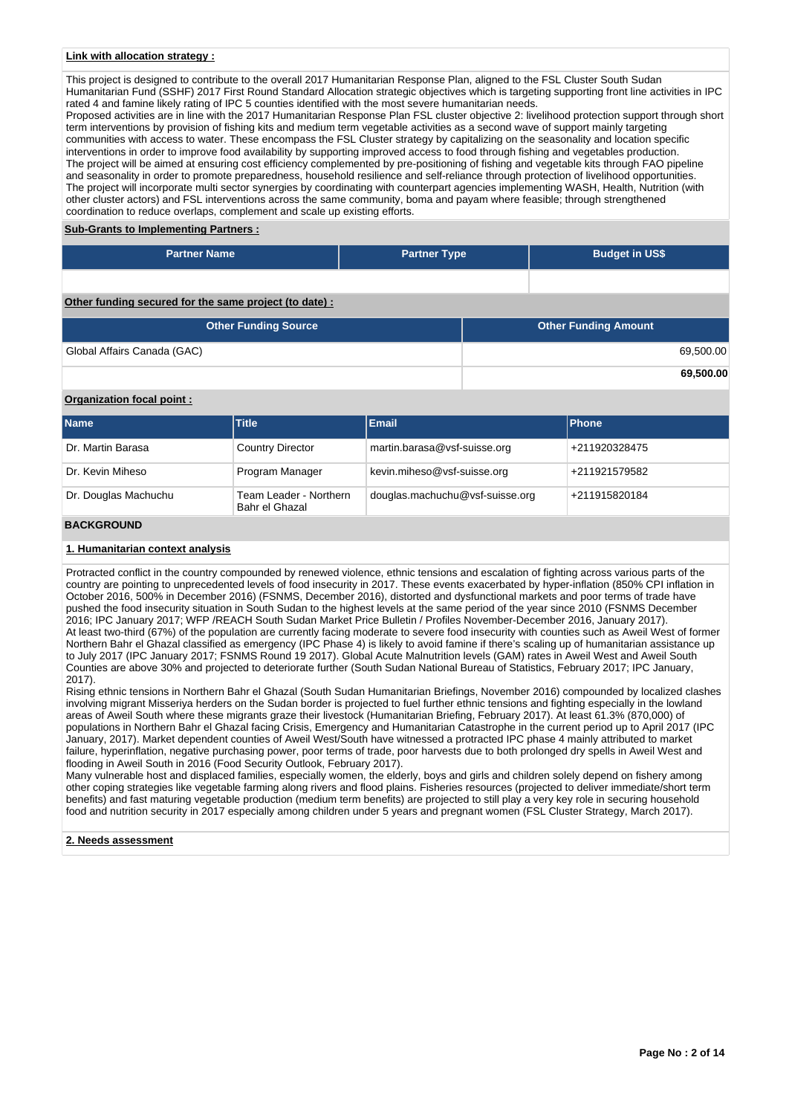#### **Link with allocation strategy :**

This project is designed to contribute to the overall 2017 Humanitarian Response Plan, aligned to the FSL Cluster South Sudan Humanitarian Fund (SSHF) 2017 First Round Standard Allocation strategic objectives which is targeting supporting front line activities in IPC rated 4 and famine likely rating of IPC 5 counties identified with the most severe humanitarian needs. Proposed activities are in line with the 2017 Humanitarian Response Plan FSL cluster objective 2: livelihood protection support through short term interventions by provision of fishing kits and medium term vegetable activities as a second wave of support mainly targeting communities with access to water. These encompass the FSL Cluster strategy by capitalizing on the seasonality and location specific interventions in order to improve food availability by supporting improved access to food through fishing and vegetables production. The project will be aimed at ensuring cost efficiency complemented by pre-positioning of fishing and vegetable kits through FAO pipeline and seasonality in order to promote preparedness, household resilience and self-reliance through protection of livelihood opportunities. The project will incorporate multi sector synergies by coordinating with counterpart agencies implementing WASH, Health, Nutrition (with other cluster actors) and FSL interventions across the same community, boma and payam where feasible; through strengthened coordination to reduce overlaps, complement and scale up existing efforts.

#### **Sub-Grants to Implementing Partners :**

| <b>Partner Name</b> | <b>Partner Type</b> | <b>Budget in US\$</b> |
|---------------------|---------------------|-----------------------|
|                     |                     |                       |

# **Other funding secured for the same project (to date) :**

| <b>Other Funding Source</b> | <b>Other Funding Amount</b> |
|-----------------------------|-----------------------------|
| Global Affairs Canada (GAC) | 69,500.00                   |
|                             | 69,500.00                   |

# **Organization focal point :**

| <b>Name</b>          | <b>Title</b>                             | <b>Email</b>                    | <b>IPhone</b> |
|----------------------|------------------------------------------|---------------------------------|---------------|
| Dr. Martin Barasa    | <b>Country Director</b>                  | martin.barasa@vsf-suisse.org    | +211920328475 |
| Dr. Kevin Miheso     | Program Manager                          | kevin.miheso@vsf-suisse.org     | +211921579582 |
| Dr. Douglas Machuchu | Team Leader - Northern<br>Bahr el Ghazal | douglas.machuchu@vsf-suisse.org | +211915820184 |
| <b>BACKGROUND</b>    |                                          |                                 |               |

# **1. Humanitarian context analysis**

Protracted conflict in the country compounded by renewed violence, ethnic tensions and escalation of fighting across various parts of the country are pointing to unprecedented levels of food insecurity in 2017. These events exacerbated by hyper-inflation (850% CPI inflation in October 2016, 500% in December 2016) (FSNMS, December 2016), distorted and dysfunctional markets and poor terms of trade have pushed the food insecurity situation in South Sudan to the highest levels at the same period of the year since 2010 (FSNMS December 2016; IPC January 2017; WFP /REACH South Sudan Market Price Bulletin / Profiles November-December 2016, January 2017). At least two-third (67%) of the population are currently facing moderate to severe food insecurity with counties such as Aweil West of former Northern Bahr el Ghazal classified as emergency (IPC Phase 4) is likely to avoid famine if there's scaling up of humanitarian assistance up to July 2017 (IPC January 2017; FSNMS Round 19 2017). Global Acute Malnutrition levels (GAM) rates in Aweil West and Aweil South Counties are above 30% and projected to deteriorate further (South Sudan National Bureau of Statistics, February 2017; IPC January, 2017).

Rising ethnic tensions in Northern Bahr el Ghazal (South Sudan Humanitarian Briefings, November 2016) compounded by localized clashes involving migrant Misseriya herders on the Sudan border is projected to fuel further ethnic tensions and fighting especially in the lowland areas of Aweil South where these migrants graze their livestock (Humanitarian Briefing, February 2017). At least 61.3% (870,000) of populations in Northern Bahr el Ghazal facing Crisis, Emergency and Humanitarian Catastrophe in the current period up to April 2017 (IPC January, 2017). Market dependent counties of Aweil West/South have witnessed a protracted IPC phase 4 mainly attributed to market failure, hyperinflation, negative purchasing power, poor terms of trade, poor harvests due to both prolonged dry spells in Aweil West and flooding in Aweil South in 2016 (Food Security Outlook, February 2017).

Many vulnerable host and displaced families, especially women, the elderly, boys and girls and children solely depend on fishery among other coping strategies like vegetable farming along rivers and flood plains. Fisheries resources (projected to deliver immediate/short term benefits) and fast maturing vegetable production (medium term benefits) are projected to still play a very key role in securing household food and nutrition security in 2017 especially among children under 5 years and pregnant women (FSL Cluster Strategy, March 2017).

#### **2. Needs assessment**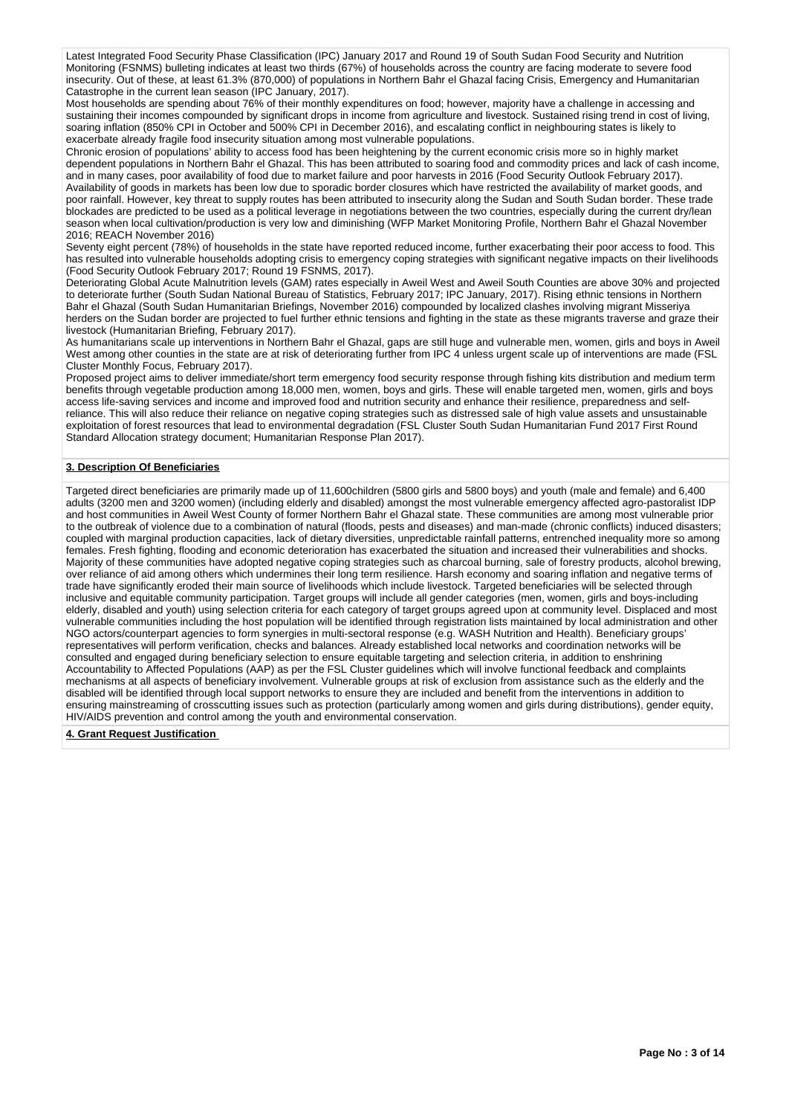Latest Integrated Food Security Phase Classification (IPC) January 2017 and Round 19 of South Sudan Food Security and Nutrition Monitoring (FSNMS) bulleting indicates at least two thirds (67%) of households across the country are facing moderate to severe food insecurity. Out of these, at least 61.3% (870,000) of populations in Northern Bahr el Ghazal facing Crisis, Emergency and Humanitarian Catastrophe in the current lean season (IPC January, 2017).

Most households are spending about 76% of their monthly expenditures on food; however, majority have a challenge in accessing and sustaining their incomes compounded by significant drops in income from agriculture and livestock. Sustained rising trend in cost of living. soaring inflation (850% CPI in October and 500% CPI in December 2016), and escalating conflict in neighbouring states is likely to exacerbate already fragile food insecurity situation among most vulnerable populations.

Chronic erosion of populations' ability to access food has been heightening by the current economic crisis more so in highly market dependent populations in Northern Bahr el Ghazal. This has been attributed to soaring food and commodity prices and lack of cash income, and in many cases, poor availability of food due to market failure and poor harvests in 2016 (Food Security Outlook February 2017). Availability of goods in markets has been low due to sporadic border closures which have restricted the availability of market goods, and poor rainfall. However, key threat to supply routes has been attributed to insecurity along the Sudan and South Sudan border. These trade blockades are predicted to be used as a political leverage in negotiations between the two countries, especially during the current dry/lean season when local cultivation/production is very low and diminishing (WFP Market Monitoring Profile, Northern Bahr el Ghazal November 2016; REACH November 2016)

Seventy eight percent (78%) of households in the state have reported reduced income, further exacerbating their poor access to food. This has resulted into vulnerable households adopting crisis to emergency coping strategies with significant negative impacts on their livelihoods (Food Security Outlook February 2017; Round 19 FSNMS, 2017).

Deteriorating Global Acute Malnutrition levels (GAM) rates especially in Aweil West and Aweil South Counties are above 30% and projected to deteriorate further (South Sudan National Bureau of Statistics, February 2017; IPC January, 2017). Rising ethnic tensions in Northern Bahr el Ghazal (South Sudan Humanitarian Briefings, November 2016) compounded by localized clashes involving migrant Misseriya herders on the Sudan border are projected to fuel further ethnic tensions and fighting in the state as these migrants traverse and graze their livestock (Humanitarian Briefing, February 2017).

As humanitarians scale up interventions in Northern Bahr el Ghazal, gaps are still huge and vulnerable men, women, girls and boys in Aweil West among other counties in the state are at risk of deteriorating further from IPC 4 unless urgent scale up of interventions are made (FSL Cluster Monthly Focus, February 2017).

Proposed project aims to deliver immediate/short term emergency food security response through fishing kits distribution and medium term benefits through vegetable production among 18,000 men, women, boys and girls. These will enable targeted men, women, girls and boys access life-saving services and income and improved food and nutrition security and enhance their resilience, preparedness and selfreliance. This will also reduce their reliance on negative coping strategies such as distressed sale of high value assets and unsustainable exploitation of forest resources that lead to environmental degradation (FSL Cluster South Sudan Humanitarian Fund 2017 First Round Standard Allocation strategy document; Humanitarian Response Plan 2017).

## **3. Description Of Beneficiaries**

Targeted direct beneficiaries are primarily made up of 11,600children (5800 girls and 5800 boys) and youth (male and female) and 6,400 adults (3200 men and 3200 women) (including elderly and disabled) amongst the most vulnerable emergency affected agro-pastoralist IDP and host communities in Aweil West County of former Northern Bahr el Ghazal state. These communities are among most vulnerable prior to the outbreak of violence due to a combination of natural (floods, pests and diseases) and man-made (chronic conflicts) induced disasters; coupled with marginal production capacities, lack of dietary diversities, unpredictable rainfall patterns, entrenched inequality more so among females. Fresh fighting, flooding and economic deterioration has exacerbated the situation and increased their vulnerabilities and shocks. Majority of these communities have adopted negative coping strategies such as charcoal burning, sale of forestry products, alcohol brewing, over reliance of aid among others which undermines their long term resilience. Harsh economy and soaring inflation and negative terms of trade have significantly eroded their main source of livelihoods which include livestock. Targeted beneficiaries will be selected through inclusive and equitable community participation. Target groups will include all gender categories (men, women, girls and boys-including elderly, disabled and youth) using selection criteria for each category of target groups agreed upon at community level. Displaced and most vulnerable communities including the host population will be identified through registration lists maintained by local administration and other NGO actors/counterpart agencies to form synergies in multi-sectoral response (e.g. WASH Nutrition and Health). Beneficiary groups' representatives will perform verification, checks and balances. Already established local networks and coordination networks will be consulted and engaged during beneficiary selection to ensure equitable targeting and selection criteria, in addition to enshrining Accountability to Affected Populations (AAP) as per the FSL Cluster guidelines which will involve functional feedback and complaints mechanisms at all aspects of beneficiary involvement. Vulnerable groups at risk of exclusion from assistance such as the elderly and the disabled will be identified through local support networks to ensure they are included and benefit from the interventions in addition to ensuring mainstreaming of crosscutting issues such as protection (particularly among women and girls during distributions), gender equity, HIV/AIDS prevention and control among the youth and environmental conservation.

**4. Grant Request Justification**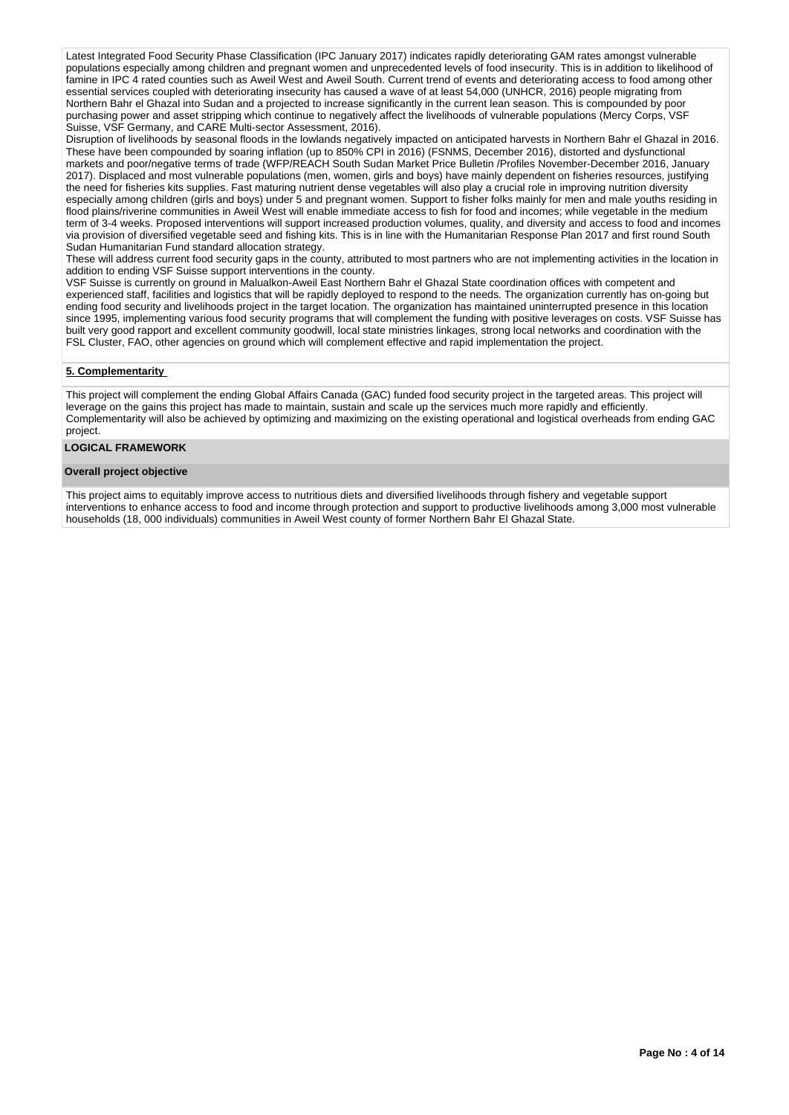Latest Integrated Food Security Phase Classification (IPC January 2017) indicates rapidly deteriorating GAM rates amongst vulnerable populations especially among children and pregnant women and unprecedented levels of food insecurity. This is in addition to likelihood of famine in IPC 4 rated counties such as Aweil West and Aweil South. Current trend of events and deteriorating access to food among other essential services coupled with deteriorating insecurity has caused a wave of at least 54,000 (UNHCR, 2016) people migrating from Northern Bahr el Ghazal into Sudan and a projected to increase significantly in the current lean season. This is compounded by poor purchasing power and asset stripping which continue to negatively affect the livelihoods of vulnerable populations (Mercy Corps, VSF Suisse, VSF Germany, and CARE Multi-sector Assessment, 2016).

Disruption of livelihoods by seasonal floods in the lowlands negatively impacted on anticipated harvests in Northern Bahr el Ghazal in 2016. These have been compounded by soaring inflation (up to 850% CPI in 2016) (FSNMS, December 2016), distorted and dysfunctional markets and poor/negative terms of trade (WFP/REACH South Sudan Market Price Bulletin /Profiles November-December 2016, January 2017). Displaced and most vulnerable populations (men, women, girls and boys) have mainly dependent on fisheries resources, justifying the need for fisheries kits supplies. Fast maturing nutrient dense vegetables will also play a crucial role in improving nutrition diversity especially among children (girls and boys) under 5 and pregnant women. Support to fisher folks mainly for men and male youths residing in flood plains/riverine communities in Aweil West will enable immediate access to fish for food and incomes; while vegetable in the medium term of 3-4 weeks. Proposed interventions will support increased production volumes, quality, and diversity and access to food and incomes via provision of diversified vegetable seed and fishing kits. This is in line with the Humanitarian Response Plan 2017 and first round South Sudan Humanitarian Fund standard allocation strategy.

These will address current food security gaps in the county, attributed to most partners who are not implementing activities in the location in addition to ending VSF Suisse support interventions in the county.

VSF Suisse is currently on ground in Malualkon-Aweil East Northern Bahr el Ghazal State coordination offices with competent and experienced staff, facilities and logistics that will be rapidly deployed to respond to the needs. The organization currently has on-going but ending food security and livelihoods project in the target location. The organization has maintained uninterrupted presence in this location since 1995, implementing various food security programs that will complement the funding with positive leverages on costs. VSF Suisse has built very good rapport and excellent community goodwill, local state ministries linkages, strong local networks and coordination with the FSL Cluster, FAO, other agencies on ground which will complement effective and rapid implementation the project.

# **5. Complementarity**

This project will complement the ending Global Affairs Canada (GAC) funded food security project in the targeted areas. This project will leverage on the gains this project has made to maintain, sustain and scale up the services much more rapidly and efficiently. Complementarity will also be achieved by optimizing and maximizing on the existing operational and logistical overheads from ending GAC project.

### **LOGICAL FRAMEWORK**

#### **Overall project objective**

This project aims to equitably improve access to nutritious diets and diversified livelihoods through fishery and vegetable support interventions to enhance access to food and income through protection and support to productive livelihoods among 3,000 most vulnerable households (18, 000 individuals) communities in Aweil West county of former Northern Bahr El Ghazal State.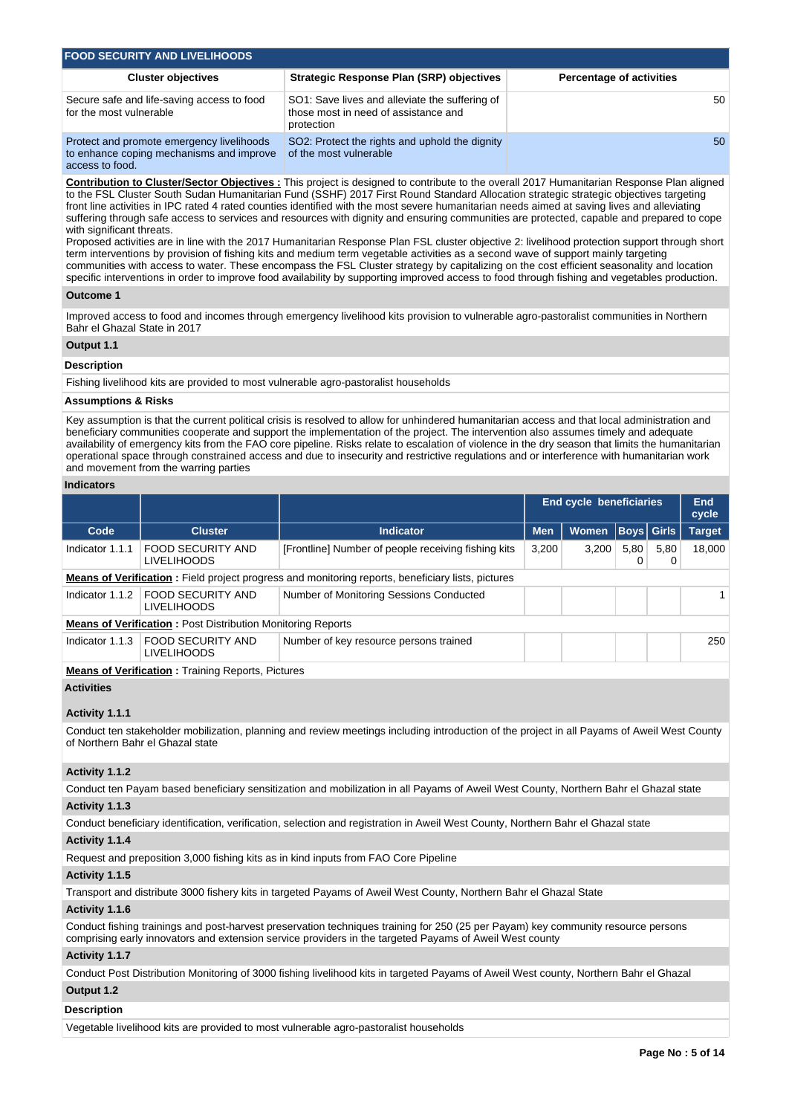| <b>FOOD SECURITY AND LIVELIHOODS</b>                                                                    |                                                                                                      |                                 |
|---------------------------------------------------------------------------------------------------------|------------------------------------------------------------------------------------------------------|---------------------------------|
| <b>Cluster objectives</b>                                                                               | Strategic Response Plan (SRP) objectives                                                             | <b>Percentage of activities</b> |
| Secure safe and life-saving access to food<br>for the most vulnerable                                   | SO1: Save lives and alleviate the suffering of<br>those most in need of assistance and<br>protection | 50                              |
| Protect and promote emergency livelihoods<br>to enhance coping mechanisms and improve<br>access to food | SO2: Protect the rights and uphold the dignity<br>of the most vulnerable                             | 50                              |

**Contribution to Cluster/Sector Objectives :** This project is designed to contribute to the overall 2017 Humanitarian Response Plan aligned to the FSL Cluster South Sudan Humanitarian Fund (SSHF) 2017 First Round Standard Allocation strategic strategic objectives targeting front line activities in IPC rated 4 rated counties identified with the most severe humanitarian needs aimed at saving lives and alleviating suffering through safe access to services and resources with dignity and ensuring communities are protected, capable and prepared to cope with significant threats.

Proposed activities are in line with the 2017 Humanitarian Response Plan FSL cluster objective 2: livelihood protection support through short term interventions by provision of fishing kits and medium term vegetable activities as a second wave of support mainly targeting communities with access to water. These encompass the FSL Cluster strategy by capitalizing on the cost efficient seasonality and location specific interventions in order to improve food availability by supporting improved access to food through fishing and vegetables production.

#### **Outcome 1**

Improved access to food and incomes through emergency livelihood kits provision to vulnerable agro-pastoralist communities in Northern Bahr el Ghazal State in 2017

#### **Output 1.1**

#### **Description**

Fishing livelihood kits are provided to most vulnerable agro-pastoralist households

# **Assumptions & Risks**

Key assumption is that the current political crisis is resolved to allow for unhindered humanitarian access and that local administration and beneficiary communities cooperate and support the implementation of the project. The intervention also assumes timely and adequate availability of emergency kits from the FAO core pipeline. Risks relate to escalation of violence in the dry season that limits the humanitarian operational space through constrained access and due to insecurity and restrictive regulations and or interference with humanitarian work and movement from the warring parties

#### **Indicators**

|                                                                                                          |            |              |      |           | End<br>cycle      |
|----------------------------------------------------------------------------------------------------------|------------|--------------|------|-----------|-------------------|
| <b>Indicator</b>                                                                                         | <b>Men</b> | <b>Women</b> |      |           | <b>Target</b>     |
| [Frontline] Number of people receiving fishing kits                                                      | 3,200      | 3.200        | 5.80 | 5,80<br>0 | 18,000            |
| <b>Means of Verification:</b> Field project progress and monitoring reports, beneficiary lists, pictures |            |              |      |           |                   |
| Number of Monitoring Sessions Conducted                                                                  |            |              |      |           |                   |
| <b>Means of Verification: Post Distribution Monitoring Reports</b>                                       |            |              |      |           |                   |
| Number of key resource persons trained                                                                   |            |              |      |           | 250               |
|                                                                                                          |            |              |      |           | <b>Boys Girls</b> |

**Means of Verification :** Training Reports, Pictures

# **Activities**

#### **Activity 1.1.1**

Conduct ten stakeholder mobilization, planning and review meetings including introduction of the project in all Payams of Aweil West County of Northern Bahr el Ghazal state

#### **Activity 1.1.2**

Conduct ten Payam based beneficiary sensitization and mobilization in all Payams of Aweil West County, Northern Bahr el Ghazal state

# **Activity 1.1.3**

Conduct beneficiary identification, verification, selection and registration in Aweil West County, Northern Bahr el Ghazal state

#### **Activity 1.1.4**

Request and preposition 3,000 fishing kits as in kind inputs from FAO Core Pipeline

#### **Activity 1.1.5**

Transport and distribute 3000 fishery kits in targeted Payams of Aweil West County, Northern Bahr el Ghazal State

#### **Activity 1.1.6**

Conduct fishing trainings and post-harvest preservation techniques training for 250 (25 per Payam) key community resource persons comprising early innovators and extension service providers in the targeted Payams of Aweil West county

#### **Activity 1.1.7**

Conduct Post Distribution Monitoring of 3000 fishing livelihood kits in targeted Payams of Aweil West county, Northern Bahr el Ghazal

# **Output 1.2**

# **Description**

Vegetable livelihood kits are provided to most vulnerable agro-pastoralist households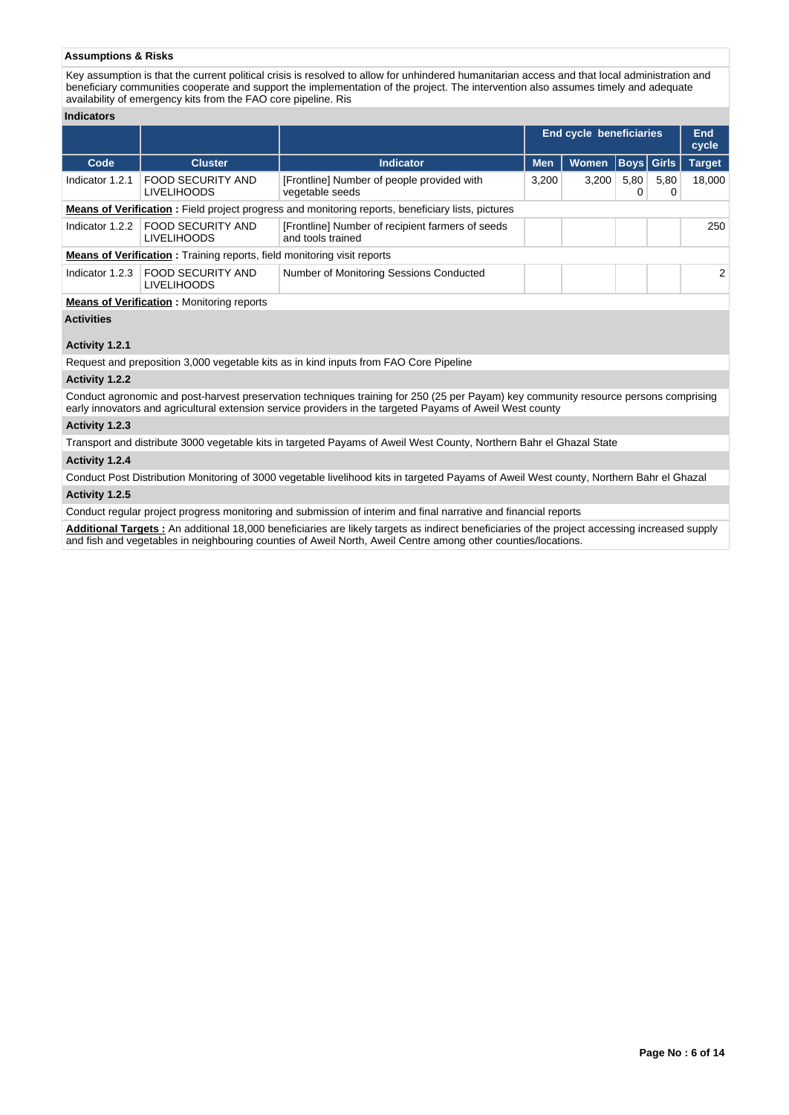# **Assumptions & Risks**

Key assumption is that the current political crisis is resolved to allow for unhindered humanitarian access and that local administration and beneficiary communities cooperate and support the implementation of the project. The intervention also assumes timely and adequate availability of emergency kits from the FAO core pipeline. Ris

#### **Indicators**

|                   |                                                                                |                                                                                                          |            | <b>End cycle beneficiaries</b> |           |                   | End<br>cycle  |
|-------------------|--------------------------------------------------------------------------------|----------------------------------------------------------------------------------------------------------|------------|--------------------------------|-----------|-------------------|---------------|
| Code              | <b>Cluster</b>                                                                 | <b>Indicator</b>                                                                                         | <b>Men</b> | <b>Women</b>                   |           | <b>Boys Girls</b> | <b>Target</b> |
| Indicator 1.2.1   | <b>FOOD SECURITY AND</b><br><b>LIVELIHOODS</b>                                 | [Frontline] Number of people provided with<br>vegetable seeds                                            | 3,200      | 3,200                          | 5,80<br>0 | 5,80<br>0         | 18.000        |
|                   |                                                                                | <b>Means of Verification:</b> Field project progress and monitoring reports, beneficiary lists, pictures |            |                                |           |                   |               |
| Indicator 1.2.2   | <b>FOOD SECURITY AND</b><br><b>LIVELIHOODS</b>                                 | [Frontline] Number of recipient farmers of seeds<br>and tools trained                                    |            |                                |           |                   | 250           |
|                   | <b>Means of Verification:</b> Training reports, field monitoring visit reports |                                                                                                          |            |                                |           |                   |               |
| Indicator 1.2.3   | <b>FOOD SECURITY AND</b><br><b>LIVELIHOODS</b>                                 | Number of Monitoring Sessions Conducted                                                                  |            |                                |           |                   | 2             |
|                   | <b>Means of Verification:</b> Monitoring reports                               |                                                                                                          |            |                                |           |                   |               |
| <b>Activities</b> |                                                                                |                                                                                                          |            |                                |           |                   |               |

# **Activity 1.2.1**

Request and preposition 3,000 vegetable kits as in kind inputs from FAO Core Pipeline

#### **Activity 1.2.2**

Conduct agronomic and post-harvest preservation techniques training for 250 (25 per Payam) key community resource persons comprising early innovators and agricultural extension service providers in the targeted Payams of Aweil West county

# **Activity 1.2.3**

Transport and distribute 3000 vegetable kits in targeted Payams of Aweil West County, Northern Bahr el Ghazal State

# **Activity 1.2.4**

Conduct Post Distribution Monitoring of 3000 vegetable livelihood kits in targeted Payams of Aweil West county, Northern Bahr el Ghazal **Activity 1.2.5** 

Conduct regular project progress monitoring and submission of interim and final narrative and financial reports

**Additional Targets :** An additional 18,000 beneficiaries are likely targets as indirect beneficiaries of the project accessing increased supply and fish and vegetables in neighbouring counties of Aweil North, Aweil Centre among other counties/locations.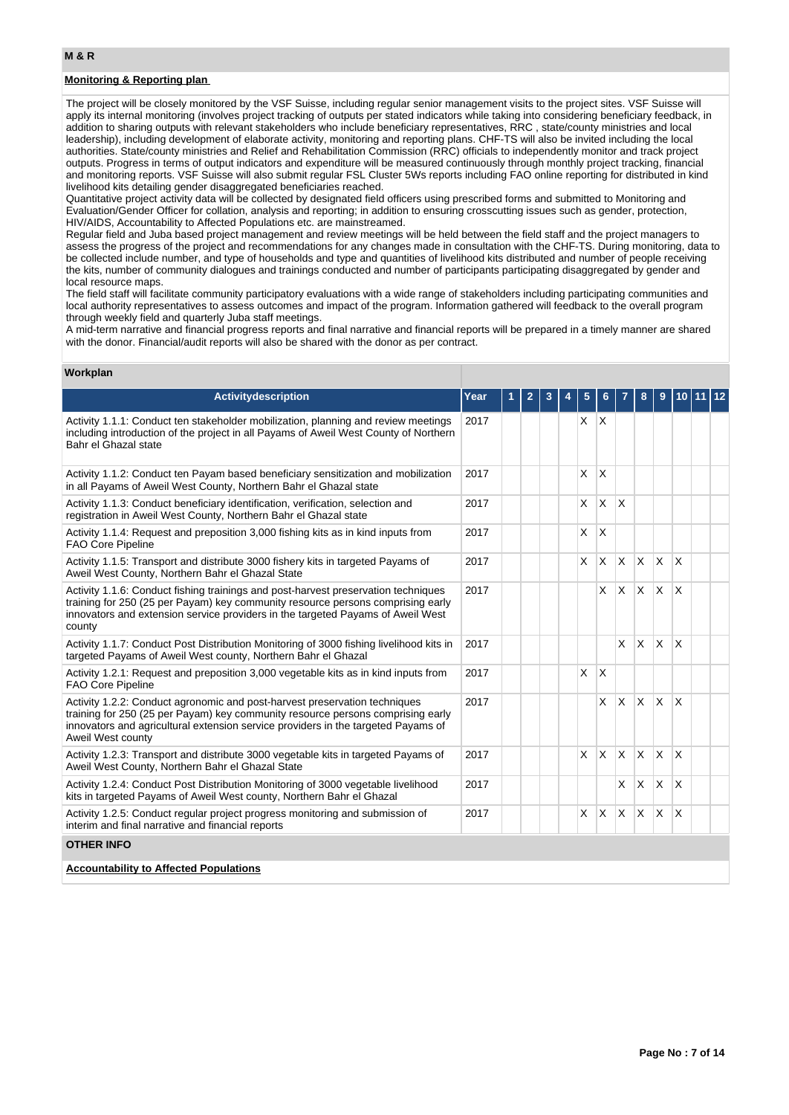# **Monitoring & Reporting plan**

The project will be closely monitored by the VSF Suisse, including regular senior management visits to the project sites. VSF Suisse will apply its internal monitoring (involves project tracking of outputs per stated indicators while taking into considering beneficiary feedback, in addition to sharing outputs with relevant stakeholders who include beneficiary representatives, RRC , state/county ministries and local leadership), including development of elaborate activity, monitoring and reporting plans. CHF-TS will also be invited including the local authorities. State/county ministries and Relief and Rehabilitation Commission (RRC) officials to independently monitor and track project outputs. Progress in terms of output indicators and expenditure will be measured continuously through monthly project tracking, financial and monitoring reports. VSF Suisse will also submit regular FSL Cluster 5Ws reports including FAO online reporting for distributed in kind livelihood kits detailing gender disaggregated beneficiaries reached.

Quantitative project activity data will be collected by designated field officers using prescribed forms and submitted to Monitoring and Evaluation/Gender Officer for collation, analysis and reporting; in addition to ensuring crosscutting issues such as gender, protection, HIV/AIDS, Accountability to Affected Populations etc. are mainstreamed.

Regular field and Juba based project management and review meetings will be held between the field staff and the project managers to assess the progress of the project and recommendations for any changes made in consultation with the CHF-TS. During monitoring, data to be collected include number, and type of households and type and quantities of livelihood kits distributed and number of people receiving the kits, number of community dialogues and trainings conducted and number of participants participating disaggregated by gender and local resource maps.

The field staff will facilitate community participatory evaluations with a wide range of stakeholders including participating communities and local authority representatives to assess outcomes and impact of the program. Information gathered will feedback to the overall program through weekly field and quarterly Juba staff meetings.

A mid-term narrative and financial progress reports and final narrative and financial reports will be prepared in a timely manner are shared with the donor. Financial/audit reports will also be shared with the donor as per contract.

#### **Workplan**

| <b>Activitydescription</b>                                                                                                                                                                                                                                              | Year | 1 | $\overline{2}$ | 3 | 5 |          |          | 8              | 9            | 10                      |  |
|-------------------------------------------------------------------------------------------------------------------------------------------------------------------------------------------------------------------------------------------------------------------------|------|---|----------------|---|---|----------|----------|----------------|--------------|-------------------------|--|
| Activity 1.1.1: Conduct ten stakeholder mobilization, planning and review meetings<br>including introduction of the project in all Payams of Aweil West County of Northern<br>Bahr el Ghazal state                                                                      | 2017 |   |                |   | X | X        |          |                |              |                         |  |
| Activity 1.1.2: Conduct ten Payam based beneficiary sensitization and mobilization<br>in all Payams of Aweil West County, Northern Bahr el Ghazal state                                                                                                                 | 2017 |   |                |   | X | X        |          |                |              |                         |  |
| Activity 1.1.3: Conduct beneficiary identification, verification, selection and<br>registration in Aweil West County, Northern Bahr el Ghazal state                                                                                                                     | 2017 |   |                |   | X | $\times$ | X        |                |              |                         |  |
| Activity 1.1.4: Request and preposition 3,000 fishing kits as in kind inputs from<br><b>FAO Core Pipeline</b>                                                                                                                                                           | 2017 |   |                |   | X | X        |          |                |              |                         |  |
| Activity 1.1.5: Transport and distribute 3000 fishery kits in targeted Payams of<br>Aweil West County, Northern Bahr el Ghazal State                                                                                                                                    | 2017 |   |                |   | X | X        | <b>X</b> | ΙX.            | <b>X</b>     | $\overline{\mathsf{x}}$ |  |
| Activity 1.1.6: Conduct fishing trainings and post-harvest preservation techniques<br>training for 250 (25 per Payam) key community resource persons comprising early<br>innovators and extension service providers in the targeted Payams of Aweil West<br>county      | 2017 |   |                |   |   | X        | <b>X</b> | $\mathsf{X}^-$ | $\mathsf{X}$ | $\overline{\mathsf{x}}$ |  |
| Activity 1.1.7: Conduct Post Distribution Monitoring of 3000 fishing livelihood kits in<br>targeted Payams of Aweil West county, Northern Bahr el Ghazal                                                                                                                | 2017 |   |                |   |   |          | X        | X.             | $\mathsf{X}$ | $\overline{\mathsf{x}}$ |  |
| Activity 1.2.1: Request and preposition 3,000 vegetable kits as in kind inputs from<br><b>FAO Core Pipeline</b>                                                                                                                                                         | 2017 |   |                |   | X | $\times$ |          |                |              |                         |  |
| Activity 1.2.2: Conduct agronomic and post-harvest preservation techniques<br>training for 250 (25 per Payam) key community resource persons comprising early<br>innovators and agricultural extension service providers in the targeted Payams of<br>Aweil West county | 2017 |   |                |   |   | X        | X        | $\times$       | X            | X                       |  |
| Activity 1.2.3: Transport and distribute 3000 vegetable kits in targeted Payams of<br>Aweil West County, Northern Bahr el Ghazal State                                                                                                                                  | 2017 |   |                |   | X | X        | $\times$ | <b>X</b>       | X            | $\overline{\mathsf{x}}$ |  |
| Activity 1.2.4: Conduct Post Distribution Monitoring of 3000 vegetable livelihood<br>kits in targeted Payams of Aweil West county, Northern Bahr el Ghazal                                                                                                              | 2017 |   |                |   |   |          | X        | X.             | X.           | X                       |  |
| Activity 1.2.5: Conduct regular project progress monitoring and submission of<br>interim and final narrative and financial reports                                                                                                                                      | 2017 |   |                |   | X | X        | X        | X.             | $\times$     | X                       |  |
| <b>OTHER INFO</b>                                                                                                                                                                                                                                                       |      |   |                |   |   |          |          |                |              |                         |  |
| <b>Accountability to Affected Populations</b>                                                                                                                                                                                                                           |      |   |                |   |   |          |          |                |              |                         |  |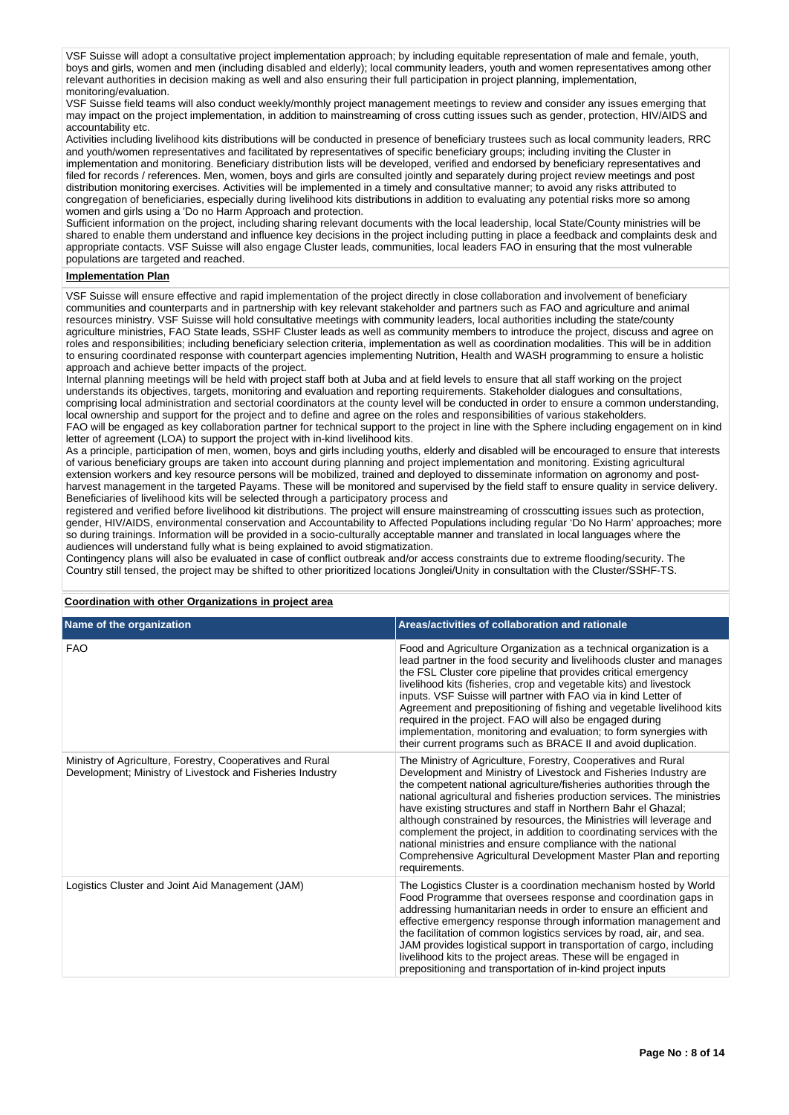VSF Suisse will adopt a consultative project implementation approach; by including equitable representation of male and female, youth, boys and girls, women and men (including disabled and elderly); local community leaders, youth and women representatives among other relevant authorities in decision making as well and also ensuring their full participation in project planning, implementation, monitoring/evaluation.

VSF Suisse field teams will also conduct weekly/monthly project management meetings to review and consider any issues emerging that may impact on the project implementation, in addition to mainstreaming of cross cutting issues such as gender, protection, HIV/AIDS and accountability etc.

Activities including livelihood kits distributions will be conducted in presence of beneficiary trustees such as local community leaders, RRC and youth/women representatives and facilitated by representatives of specific beneficiary groups; including inviting the Cluster in implementation and monitoring. Beneficiary distribution lists will be developed, verified and endorsed by beneficiary representatives and filed for records / references. Men, women, boys and girls are consulted jointly and separately during project review meetings and post distribution monitoring exercises. Activities will be implemented in a timely and consultative manner; to avoid any risks attributed to congregation of beneficiaries, especially during livelihood kits distributions in addition to evaluating any potential risks more so among women and girls using a 'Do no Harm Approach and protection.

Sufficient information on the project, including sharing relevant documents with the local leadership, local State/County ministries will be shared to enable them understand and influence key decisions in the project including putting in place a feedback and complaints desk and appropriate contacts. VSF Suisse will also engage Cluster leads, communities, local leaders FAO in ensuring that the most vulnerable populations are targeted and reached.

#### **Implementation Plan**

VSF Suisse will ensure effective and rapid implementation of the project directly in close collaboration and involvement of beneficiary communities and counterparts and in partnership with key relevant stakeholder and partners such as FAO and agriculture and animal resources ministry. VSF Suisse will hold consultative meetings with community leaders, local authorities including the state/county agriculture ministries, FAO State leads, SSHF Cluster leads as well as community members to introduce the project, discuss and agree on roles and responsibilities; including beneficiary selection criteria, implementation as well as coordination modalities. This will be in addition to ensuring coordinated response with counterpart agencies implementing Nutrition, Health and WASH programming to ensure a holistic approach and achieve better impacts of the project.

Internal planning meetings will be held with project staff both at Juba and at field levels to ensure that all staff working on the project understands its objectives, targets, monitoring and evaluation and reporting requirements. Stakeholder dialogues and consultations, comprising local administration and sectorial coordinators at the county level will be conducted in order to ensure a common understanding, local ownership and support for the project and to define and agree on the roles and responsibilities of various stakeholders. FAO will be engaged as key collaboration partner for technical support to the project in line with the Sphere including engagement on in kind letter of agreement (LOA) to support the project with in-kind livelihood kits.

As a principle, participation of men, women, boys and girls including youths, elderly and disabled will be encouraged to ensure that interests of various beneficiary groups are taken into account during planning and project implementation and monitoring. Existing agricultural extension workers and key resource persons will be mobilized, trained and deployed to disseminate information on agronomy and postharvest management in the targeted Payams. These will be monitored and supervised by the field staff to ensure quality in service delivery. Beneficiaries of livelihood kits will be selected through a participatory process and

registered and verified before livelihood kit distributions. The project will ensure mainstreaming of crosscutting issues such as protection, gender, HIV/AIDS, environmental conservation and Accountability to Affected Populations including regular 'Do No Harm' approaches; more so during trainings. Information will be provided in a socio-culturally acceptable manner and translated in local languages where the audiences will understand fully what is being explained to avoid stigmatization.

Contingency plans will also be evaluated in case of conflict outbreak and/or access constraints due to extreme flooding/security. The Country still tensed, the project may be shifted to other prioritized locations Jonglei/Unity in consultation with the Cluster/SSHF-TS.

**Coordination with other Organizations in project area**

| Name of the organization                                                                                               | Areas/activities of collaboration and rationale                                                                                                                                                                                                                                                                                                                                                                                                                                                                                                                                                                                                            |
|------------------------------------------------------------------------------------------------------------------------|------------------------------------------------------------------------------------------------------------------------------------------------------------------------------------------------------------------------------------------------------------------------------------------------------------------------------------------------------------------------------------------------------------------------------------------------------------------------------------------------------------------------------------------------------------------------------------------------------------------------------------------------------------|
| <b>FAO</b>                                                                                                             | Food and Agriculture Organization as a technical organization is a<br>lead partner in the food security and livelihoods cluster and manages<br>the FSL Cluster core pipeline that provides critical emergency<br>livelihood kits (fisheries, crop and vegetable kits) and livestock<br>inputs. VSF Suisse will partner with FAO via in kind Letter of<br>Agreement and prepositioning of fishing and vegetable livelihood kits<br>required in the project. FAO will also be engaged during<br>implementation, monitoring and evaluation; to form synergies with<br>their current programs such as BRACE II and avoid duplication.                          |
| Ministry of Agriculture, Forestry, Cooperatives and Rural<br>Development; Ministry of Livestock and Fisheries Industry | The Ministry of Agriculture, Forestry, Cooperatives and Rural<br>Development and Ministry of Livestock and Fisheries Industry are<br>the competent national agriculture/fisheries authorities through the<br>national agricultural and fisheries production services. The ministries<br>have existing structures and staff in Northern Bahr el Ghazal;<br>although constrained by resources, the Ministries will leverage and<br>complement the project, in addition to coordinating services with the<br>national ministries and ensure compliance with the national<br>Comprehensive Agricultural Development Master Plan and reporting<br>requirements. |
| Logistics Cluster and Joint Aid Management (JAM)                                                                       | The Logistics Cluster is a coordination mechanism hosted by World<br>Food Programme that oversees response and coordination gaps in<br>addressing humanitarian needs in order to ensure an efficient and<br>effective emergency response through information management and<br>the facilitation of common logistics services by road, air, and sea.<br>JAM provides logistical support in transportation of cargo, including<br>livelihood kits to the project areas. These will be engaged in<br>prepositioning and transportation of in-kind project inputs                                                                                              |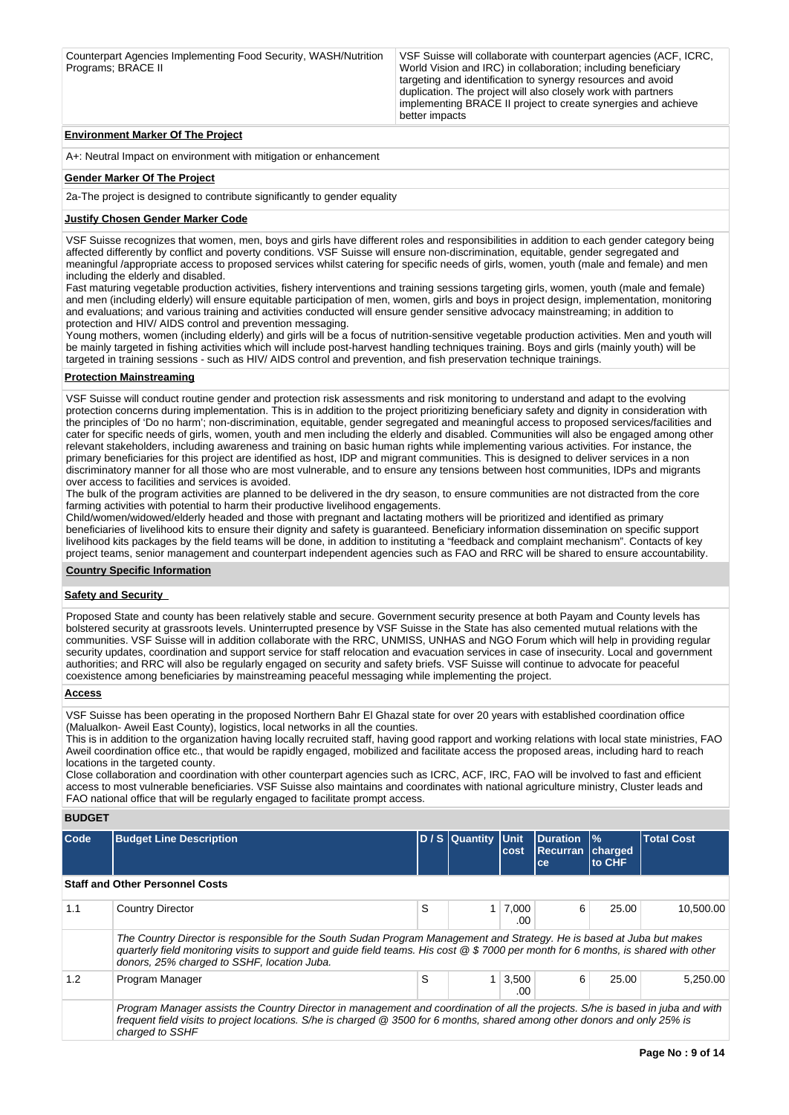| VSF Suisse will collaborate with counterpart agencies (ACF, ICRC, |
|-------------------------------------------------------------------|
| World Vision and IRC) in collaboration; including beneficiary     |
| targeting and identification to synergy resources and avoid       |
| duplication. The project will also closely work with partners     |
| implementing BRACE II project to create synergies and achieve     |
| better impacts                                                    |
|                                                                   |

#### **Environment Marker Of The Project**

A+: Neutral Impact on environment with mitigation or enhancement

#### **Gender Marker Of The Project**

2a-The project is designed to contribute significantly to gender equality

#### **Justify Chosen Gender Marker Code**

VSF Suisse recognizes that women, men, boys and girls have different roles and responsibilities in addition to each gender category being affected differently by conflict and poverty conditions. VSF Suisse will ensure non-discrimination, equitable, gender segregated and meaningful /appropriate access to proposed services whilst catering for specific needs of girls, women, youth (male and female) and men including the elderly and disabled.

Fast maturing vegetable production activities, fishery interventions and training sessions targeting girls, women, youth (male and female) and men (including elderly) will ensure equitable participation of men, women, girls and boys in project design, implementation, monitoring and evaluations; and various training and activities conducted will ensure gender sensitive advocacy mainstreaming; in addition to protection and HIV/ AIDS control and prevention messaging.

Young mothers, women (including elderly) and girls will be a focus of nutrition-sensitive vegetable production activities. Men and youth will be mainly targeted in fishing activities which will include post-harvest handling techniques training. Boys and girls (mainly youth) will be targeted in training sessions - such as HIV/ AIDS control and prevention, and fish preservation technique trainings.

#### **Protection Mainstreaming**

VSF Suisse will conduct routine gender and protection risk assessments and risk monitoring to understand and adapt to the evolving protection concerns during implementation. This is in addition to the project prioritizing beneficiary safety and dignity in consideration with the principles of 'Do no harm'; non-discrimination, equitable, gender segregated and meaningful access to proposed services/facilities and cater for specific needs of girls, women, youth and men including the elderly and disabled. Communities will also be engaged among other relevant stakeholders, including awareness and training on basic human rights while implementing various activities. For instance, the primary beneficiaries for this project are identified as host, IDP and migrant communities. This is designed to deliver services in a non discriminatory manner for all those who are most vulnerable, and to ensure any tensions between host communities, IDPs and migrants over access to facilities and services is avoided.

The bulk of the program activities are planned to be delivered in the dry season, to ensure communities are not distracted from the core farming activities with potential to harm their productive livelihood engagements.

Child/women/widowed/elderly headed and those with pregnant and lactating mothers will be prioritized and identified as primary beneficiaries of livelihood kits to ensure their dignity and safety is guaranteed. Beneficiary information dissemination on specific support livelihood kits packages by the field teams will be done, in addition to instituting a "feedback and complaint mechanism". Contacts of key project teams, senior management and counterpart independent agencies such as FAO and RRC will be shared to ensure accountability.

#### **Country Specific Information**

#### **Safety and Security**

Proposed State and county has been relatively stable and secure. Government security presence at both Payam and County levels has bolstered security at grassroots levels. Uninterrupted presence by VSF Suisse in the State has also cemented mutual relations with the communities. VSF Suisse will in addition collaborate with the RRC, UNMISS, UNHAS and NGO Forum which will help in providing regular security updates, coordination and support service for staff relocation and evacuation services in case of insecurity. Local and government authorities; and RRC will also be regularly engaged on security and safety briefs. VSF Suisse will continue to advocate for peaceful coexistence among beneficiaries by mainstreaming peaceful messaging while implementing the project.

#### **Access**

VSF Suisse has been operating in the proposed Northern Bahr El Ghazal state for over 20 years with established coordination office (Malualkon- Aweil East County), logistics, local networks in all the counties.

This is in addition to the organization having locally recruited staff, having good rapport and working relations with local state ministries, FAO Aweil coordination office etc., that would be rapidly engaged, mobilized and facilitate access the proposed areas, including hard to reach locations in the targeted county.

Close collaboration and coordination with other counterpart agencies such as ICRC, ACF, IRC, FAO will be involved to fast and efficient access to most vulnerable beneficiaries. VSF Suisse also maintains and coordinates with national agriculture ministry, Cluster leads and FAO national office that will be regularly engaged to facilitate prompt access.

# **BUDGET**

| Code | <b>Budget Line Description</b>                                                                                                                                                                                                                                                                               |   | D / S Quantity Unit | cost                        | <b>IDuration</b><br><b>Recurran charged</b><br>ce | $\frac{9}{6}$<br>to CHF | <b>Total Cost</b> |  |  |
|------|--------------------------------------------------------------------------------------------------------------------------------------------------------------------------------------------------------------------------------------------------------------------------------------------------------------|---|---------------------|-----------------------------|---------------------------------------------------|-------------------------|-------------------|--|--|
|      | <b>Staff and Other Personnel Costs</b>                                                                                                                                                                                                                                                                       |   |                     |                             |                                                   |                         |                   |  |  |
| 1.1  | <b>Country Director</b>                                                                                                                                                                                                                                                                                      | S |                     | $1 \overline{7.000}$<br>.00 | 6                                                 | 25.00                   | 10.500.00         |  |  |
|      | The Country Director is responsible for the South Sudan Program Management and Strategy. He is based at Juba but makes<br>quarterly field monitoring visits to support and guide field teams. His cost @ \$ 7000 per month for 6 months, is shared with other<br>donors, 25% charged to SSHF, location Juba. |   |                     |                             |                                                   |                         |                   |  |  |
| 1.2  | Program Manager                                                                                                                                                                                                                                                                                              | S |                     | $1 \mid 3,500$<br>.00       | 6                                                 | 25.00                   | 5.250.00          |  |  |
|      | Program Manager assists the Country Director in management and coordination of all the projects. S/he is based in juba and with<br>frequent field visits to project locations. S/he is charged @ 3500 for 6 months, shared among other donors and only 25% is<br>charged to SSHF                             |   |                     |                             |                                                   |                         |                   |  |  |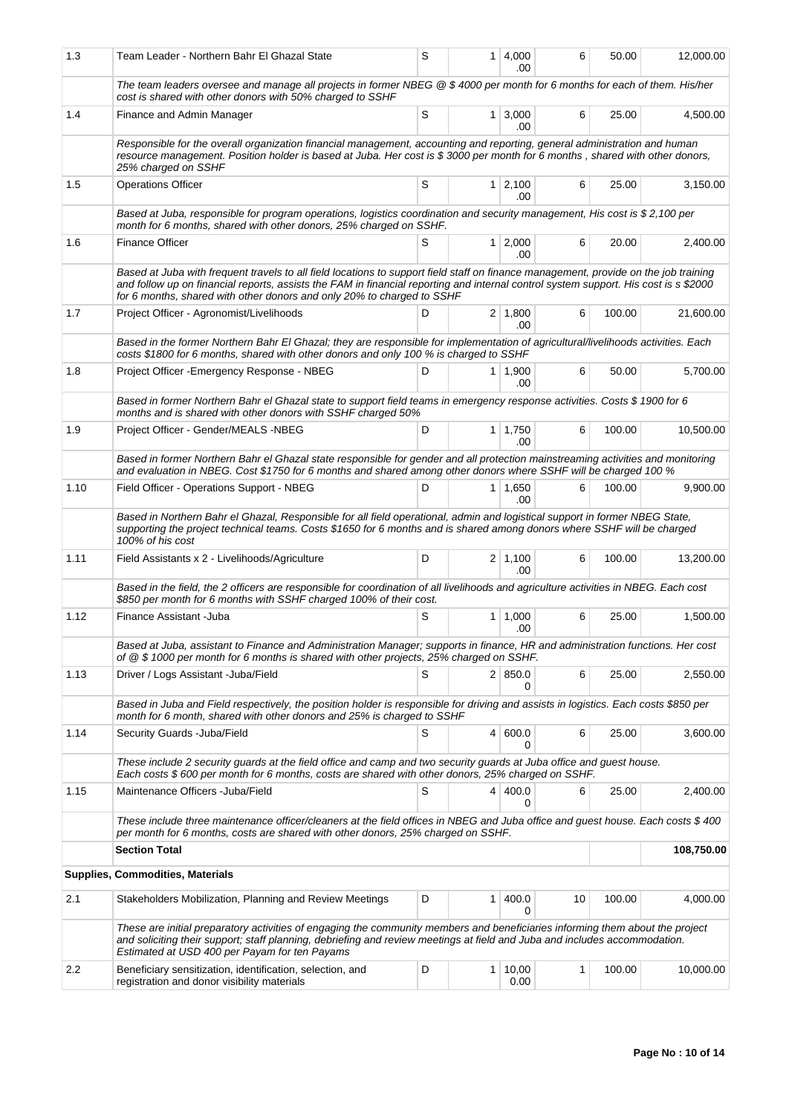| 1.3  | Team Leader - Northern Bahr El Ghazal State                                                                                                                                                                                                                                                                                                            | S                                                                                                                                                                                                             | 1 <sup>1</sup> | 4,000<br>.00           | 6  | 50.00  | 12,000.00 |  |  |
|------|--------------------------------------------------------------------------------------------------------------------------------------------------------------------------------------------------------------------------------------------------------------------------------------------------------------------------------------------------------|---------------------------------------------------------------------------------------------------------------------------------------------------------------------------------------------------------------|----------------|------------------------|----|--------|-----------|--|--|
|      | The team leaders oversee and manage all projects in former NBEG @ \$ 4000 per month for 6 months for each of them. His/her<br>cost is shared with other donors with 50% charged to SSHF                                                                                                                                                                |                                                                                                                                                                                                               |                |                        |    |        |           |  |  |
| 1.4  | Finance and Admin Manager                                                                                                                                                                                                                                                                                                                              | S                                                                                                                                                                                                             |                | $1 \mid 3,000$<br>.00  | 6  | 25.00  | 4,500.00  |  |  |
|      | Responsible for the overall organization financial management, accounting and reporting, general administration and human<br>resource management. Position holder is based at Juba. Her cost is \$3000 per month for 6 months, shared with other donors,<br>25% charged on SSHF                                                                        |                                                                                                                                                                                                               |                |                        |    |        |           |  |  |
| 1.5  | <b>Operations Officer</b>                                                                                                                                                                                                                                                                                                                              | S                                                                                                                                                                                                             |                | $1 \mid 2,100$<br>.00  | 6  | 25.00  | 3.150.00  |  |  |
|      | Based at Juba, responsible for program operations, logistics coordination and security management, His cost is \$2,100 per<br>month for 6 months, shared with other donors, 25% charged on SSHF.                                                                                                                                                       |                                                                                                                                                                                                               |                |                        |    |        |           |  |  |
| 1.6  | <b>Finance Officer</b>                                                                                                                                                                                                                                                                                                                                 | S                                                                                                                                                                                                             |                | $1 \mid 2,000$<br>.00  | 6  | 20.00  | 2,400.00  |  |  |
|      | Based at Juba with frequent travels to all field locations to support field staff on finance management, provide on the job training<br>and follow up on financial reports, assists the FAM in financial reporting and internal control system support. His cost is s \$2000<br>for 6 months, shared with other donors and only 20% to charged to SSHF |                                                                                                                                                                                                               |                |                        |    |        |           |  |  |
| 1.7  | Project Officer - Agronomist/Livelihoods                                                                                                                                                                                                                                                                                                               | D                                                                                                                                                                                                             |                | $2 \mid 1,800$<br>.00  | 6  | 100.00 | 21,600.00 |  |  |
|      | Based in the former Northern Bahr El Ghazal; they are responsible for implementation of agricultural/livelihoods activities. Each<br>costs \$1800 for 6 months, shared with other donors and only 100 % is charged to SSHF                                                                                                                             |                                                                                                                                                                                                               |                |                        |    |        |           |  |  |
| 1.8  | Project Officer - Emergency Response - NBEG                                                                                                                                                                                                                                                                                                            | D                                                                                                                                                                                                             |                | $1 \mid 1,900$<br>.00  | 6  | 50.00  | 5,700.00  |  |  |
|      | Based in former Northern Bahr el Ghazal state to support field teams in emergency response activities. Costs \$1900 for 6<br>months and is shared with other donors with SSHF charged 50%                                                                                                                                                              |                                                                                                                                                                                                               |                |                        |    |        |           |  |  |
| 1.9  | Project Officer - Gender/MEALS -NBEG                                                                                                                                                                                                                                                                                                                   | D                                                                                                                                                                                                             |                | $1 \mid 1,750$<br>.00. | 6  | 100.00 | 10,500.00 |  |  |
|      | Based in former Northern Bahr el Ghazal state responsible for gender and all protection mainstreaming activities and monitoring<br>and evaluation in NBEG. Cost \$1750 for 6 months and shared among other donors where SSHF will be charged 100 %                                                                                                     |                                                                                                                                                                                                               |                |                        |    |        |           |  |  |
| 1.10 | Field Officer - Operations Support - NBEG                                                                                                                                                                                                                                                                                                              | D                                                                                                                                                                                                             |                | 1   1,650<br>.00       | 6  | 100.00 | 9,900.00  |  |  |
|      | Based in Northern Bahr el Ghazal, Responsible for all field operational, admin and logistical support in former NBEG State,<br>supporting the project technical teams. Costs \$1650 for 6 months and is shared among donors where SSHF will be charged<br>100% of his cost                                                                             |                                                                                                                                                                                                               |                |                        |    |        |           |  |  |
| 1.11 | Field Assistants x 2 - Livelihoods/Agriculture                                                                                                                                                                                                                                                                                                         | D                                                                                                                                                                                                             |                | $2 \mid 1,100$<br>.00  | 6  | 100.00 | 13,200.00 |  |  |
|      | Based in the field, the 2 officers are responsible for coordination of all livelihoods and agriculture activities in NBEG. Each cost<br>\$850 per month for 6 months with SSHF charged 100% of their cost.                                                                                                                                             |                                                                                                                                                                                                               |                |                        |    |        |           |  |  |
| 1.12 | Finance Assistant - Juba                                                                                                                                                                                                                                                                                                                               | S                                                                                                                                                                                                             |                | $1 \mid 1,000$<br>.00  | 6  | 25.00  | 1,500.00  |  |  |
|      | Based at Juba, assistant to Finance and Administration Manager; supports in finance, HR and administration functions. Her cost<br>of @ \$1000 per month for 6 months is shared with other projects, 25% charged on SSHF.                                                                                                                               |                                                                                                                                                                                                               |                |                        |    |        |           |  |  |
| 1.13 | Driver / Logs Assistant -Juba/Field                                                                                                                                                                                                                                                                                                                    | S                                                                                                                                                                                                             |                | 2   850.0<br>0         | 6  | 25.00  | 2,550.00  |  |  |
|      |                                                                                                                                                                                                                                                                                                                                                        | Based in Juba and Field respectively, the position holder is responsible for driving and assists in logistics. Each costs \$850 per<br>month for 6 month, shared with other donors and 25% is charged to SSHF |                |                        |    |        |           |  |  |
| 1.14 | Security Guards - Juba/Field                                                                                                                                                                                                                                                                                                                           | S                                                                                                                                                                                                             |                | 4   600.0              | 6  | 25.00  | 3,600.00  |  |  |
|      | These include 2 security guards at the field office and camp and two security guards at Juba office and guest house.<br>Each costs \$600 per month for 6 months, costs are shared with other donors, 25% charged on SSHF.                                                                                                                              |                                                                                                                                                                                                               |                |                        |    |        |           |  |  |
| 1.15 | Maintenance Officers - Juba/Field                                                                                                                                                                                                                                                                                                                      | S                                                                                                                                                                                                             |                | 4 400.0<br>0           | 6  | 25.00  | 2,400.00  |  |  |
|      | These include three maintenance officer/cleaners at the field offices in NBEG and Juba office and guest house. Each costs \$ 400<br>per month for 6 months, costs are shared with other donors, 25% charged on SSHF.                                                                                                                                   |                                                                                                                                                                                                               |                |                        |    |        |           |  |  |
|      | <b>Section Total</b>                                                                                                                                                                                                                                                                                                                                   |                                                                                                                                                                                                               |                | 108,750.00             |    |        |           |  |  |
|      | <b>Supplies, Commodities, Materials</b>                                                                                                                                                                                                                                                                                                                |                                                                                                                                                                                                               |                |                        |    |        |           |  |  |
| 2.1  | Stakeholders Mobilization, Planning and Review Meetings                                                                                                                                                                                                                                                                                                | D                                                                                                                                                                                                             | 1 <sup>1</sup> | 400.0<br>0             | 10 | 100.00 | 4,000.00  |  |  |
|      | These are initial preparatory activities of engaging the community members and beneficiaries informing them about the project<br>and soliciting their support; staff planning, debriefing and review meetings at field and Juba and includes accommodation.<br>Estimated at USD 400 per Payam for ten Payams                                           |                                                                                                                                                                                                               |                |                        |    |        |           |  |  |
| 2.2  | Beneficiary sensitization, identification, selection, and<br>registration and donor visibility materials                                                                                                                                                                                                                                               | D                                                                                                                                                                                                             |                | $1 \mid 10,00$<br>0.00 | 1  | 100.00 | 10,000.00 |  |  |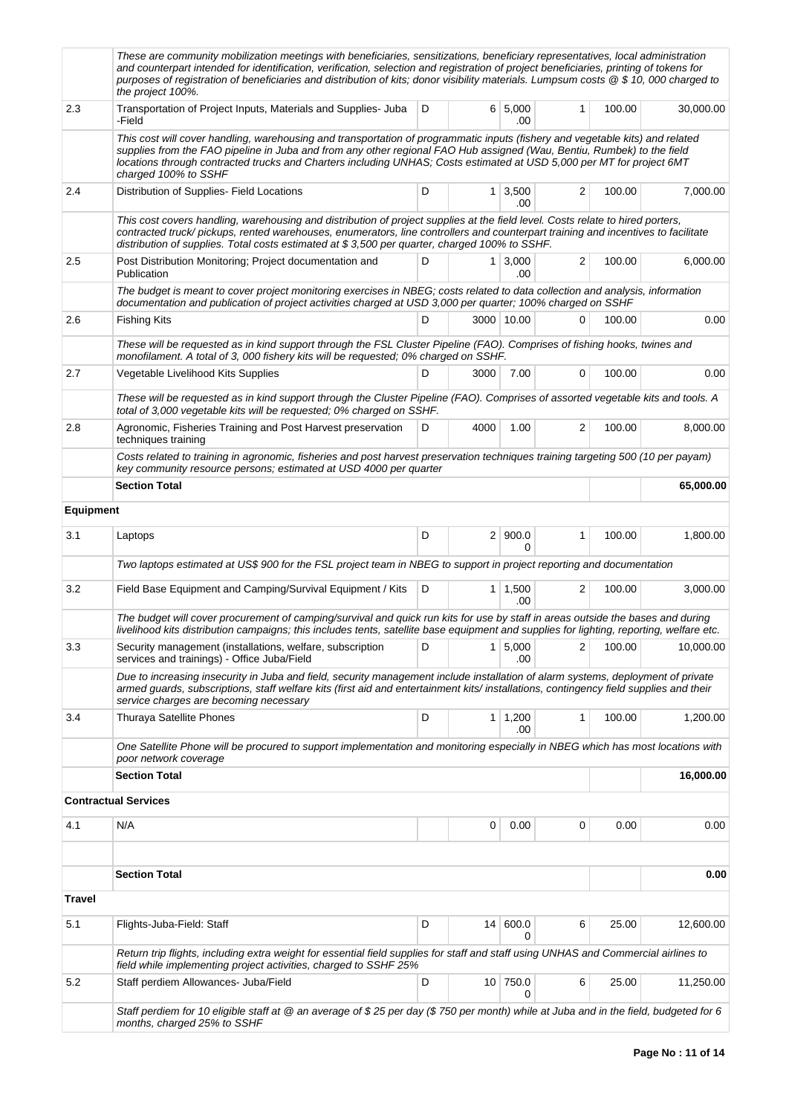|                  | These are community mobilization meetings with beneficiaries, sensitizations, beneficiary representatives, local administration<br>and counterpart intended for identification, verification, selection and registration of project beneficiaries, printing of tokens for<br>purposes of registration of beneficiaries and distribution of kits; donor visibility materials. Lumpsum costs @ \$10,000 charged to<br>the project 100%. |   |                 |                              |          |        |           |  |  |  |
|------------------|---------------------------------------------------------------------------------------------------------------------------------------------------------------------------------------------------------------------------------------------------------------------------------------------------------------------------------------------------------------------------------------------------------------------------------------|---|-----------------|------------------------------|----------|--------|-----------|--|--|--|
| 2.3              | Transportation of Project Inputs, Materials and Supplies- Juba<br>-Field                                                                                                                                                                                                                                                                                                                                                              | D |                 | 6 5,000<br>.00               | 1        | 100.00 | 30,000.00 |  |  |  |
|                  | This cost will cover handling, warehousing and transportation of programmatic inputs (fishery and vegetable kits) and related<br>supplies from the FAO pipeline in Juba and from any other regional FAO Hub assigned (Wau, Bentiu, Rumbek) to the field<br>locations through contracted trucks and Charters including UNHAS; Costs estimated at USD 5,000 per MT for project 6MT<br>charged 100% to SSHF                              |   |                 |                              |          |        |           |  |  |  |
| 2.4              | Distribution of Supplies- Field Locations                                                                                                                                                                                                                                                                                                                                                                                             | D |                 | $1 \overline{)3,500}$<br>.00 | 2        | 100.00 | 7,000.00  |  |  |  |
|                  | This cost covers handling, warehousing and distribution of project supplies at the field level. Costs relate to hired porters,<br>contracted truck/pickups, rented warehouses, enumerators, line controllers and counterpart training and incentives to facilitate<br>distribution of supplies. Total costs estimated at \$3,500 per quarter, charged 100% to SSHF.                                                                   |   |                 |                              |          |        |           |  |  |  |
| 2.5              | $1 \mid 3,000$<br>Post Distribution Monitoring; Project documentation and<br>D<br>Publication<br>.00                                                                                                                                                                                                                                                                                                                                  |   | 2               | 100.00                       | 6,000.00 |        |           |  |  |  |
|                  | The budget is meant to cover project monitoring exercises in NBEG; costs related to data collection and analysis, information<br>documentation and publication of project activities charged at USD 3,000 per quarter; 100% charged on SSHF                                                                                                                                                                                           |   |                 |                              |          |        |           |  |  |  |
| 2.6              | <b>Fishing Kits</b>                                                                                                                                                                                                                                                                                                                                                                                                                   | D |                 | 3000 10.00                   | 0        | 100.00 | 0.00      |  |  |  |
|                  | These will be requested as in kind support through the FSL Cluster Pipeline (FAO). Comprises of fishing hooks, twines and<br>monofilament. A total of 3, 000 fishery kits will be requested; 0% charged on SSHF.                                                                                                                                                                                                                      |   |                 |                              |          |        |           |  |  |  |
| 2.7              | Vegetable Livelihood Kits Supplies                                                                                                                                                                                                                                                                                                                                                                                                    | D | 3000            | 7.00                         | 0        | 100.00 | 0.00      |  |  |  |
|                  | These will be requested as in kind support through the Cluster Pipeline (FAO). Comprises of assorted vegetable kits and tools. A<br>total of 3,000 vegetable kits will be requested; 0% charged on SSHF.                                                                                                                                                                                                                              |   |                 |                              |          |        |           |  |  |  |
| 2.8              | Agronomic, Fisheries Training and Post Harvest preservation<br>techniques training                                                                                                                                                                                                                                                                                                                                                    | D | 4000            | 1.00                         | 2        | 100.00 | 8,000.00  |  |  |  |
|                  | Costs related to training in agronomic, fisheries and post harvest preservation techniques training targeting 500 (10 per payam)<br>key community resource persons; estimated at USD 4000 per quarter                                                                                                                                                                                                                                 |   |                 |                              |          |        |           |  |  |  |
|                  | <b>Section Total</b>                                                                                                                                                                                                                                                                                                                                                                                                                  |   |                 |                              |          |        | 65,000.00 |  |  |  |
| <b>Equipment</b> |                                                                                                                                                                                                                                                                                                                                                                                                                                       |   |                 |                              |          |        |           |  |  |  |
| 3.1              | Laptops                                                                                                                                                                                                                                                                                                                                                                                                                               | D |                 | 2   900.0<br>$\Omega$        | 1        | 100.00 | 1,800.00  |  |  |  |
|                  | Two laptops estimated at US\$ 900 for the FSL project team in NBEG to support in project reporting and documentation                                                                                                                                                                                                                                                                                                                  |   |                 |                              |          |        |           |  |  |  |
| 3.2              | Field Base Equipment and Camping/Survival Equipment / Kits                                                                                                                                                                                                                                                                                                                                                                            | D |                 | $1 \mid 1,500$<br>.00        | 2        | 100.00 | 3,000.00  |  |  |  |
|                  | The budget will cover procurement of camping/survival and quick run kits for use by staff in areas outside the bases and during<br>livelihood kits distribution campaigns; this includes tents, satellite base equipment and supplies for lighting, reporting, welfare etc.                                                                                                                                                           |   |                 |                              |          |        |           |  |  |  |
| 3.3              | Security management (installations, welfare, subscription<br>services and trainings) - Office Juba/Field                                                                                                                                                                                                                                                                                                                              | D |                 | 1 5,000<br>.00               | 2        | 100.00 | 10,000.00 |  |  |  |
|                  | Due to increasing insecurity in Juba and field, security management include installation of alarm systems, deployment of private<br>armed guards, subscriptions, staff welfare kits (first aid and entertainment kits/installations, contingency field supplies and their<br>service charges are becoming necessary                                                                                                                   |   |                 |                              |          |        |           |  |  |  |
| 3.4              | Thuraya Satellite Phones                                                                                                                                                                                                                                                                                                                                                                                                              | D |                 | $1 \mid 1,200$<br>.00        | 1        | 100.00 | 1,200.00  |  |  |  |
|                  | One Satellite Phone will be procured to support implementation and monitoring especially in NBEG which has most locations with<br>poor network coverage                                                                                                                                                                                                                                                                               |   |                 |                              |          |        |           |  |  |  |
|                  | <b>Section Total</b>                                                                                                                                                                                                                                                                                                                                                                                                                  |   |                 |                              |          |        | 16,000.00 |  |  |  |
|                  | <b>Contractual Services</b>                                                                                                                                                                                                                                                                                                                                                                                                           |   |                 |                              |          |        |           |  |  |  |
| 4.1              | N/A                                                                                                                                                                                                                                                                                                                                                                                                                                   |   | 0               | 0.00                         | 0        | 0.00   | 0.00      |  |  |  |
|                  | <b>Section Total</b>                                                                                                                                                                                                                                                                                                                                                                                                                  |   |                 |                              |          |        | 0.00      |  |  |  |
| <b>Travel</b>    |                                                                                                                                                                                                                                                                                                                                                                                                                                       |   |                 |                              |          |        |           |  |  |  |
| 5.1              | Flights-Juba-Field: Staff                                                                                                                                                                                                                                                                                                                                                                                                             | D | 14 <sup>1</sup> | 600.0<br>0                   | 6        | 25.00  | 12,600.00 |  |  |  |
|                  | Return trip flights, including extra weight for essential field supplies for staff and staff using UNHAS and Commercial airlines to<br>field while implementing project activities, charged to SSHF 25%                                                                                                                                                                                                                               |   |                 |                              |          |        |           |  |  |  |
| 5.2              | Staff perdiem Allowances- Juba/Field                                                                                                                                                                                                                                                                                                                                                                                                  | D |                 | 10 750.0<br>0                | 6        | 25.00  | 11,250.00 |  |  |  |
|                  | Staff perdiem for 10 eligible staff at @ an average of \$25 per day (\$750 per month) while at Juba and in the field, budgeted for 6<br>months, charged 25% to SSHF                                                                                                                                                                                                                                                                   |   |                 |                              |          |        |           |  |  |  |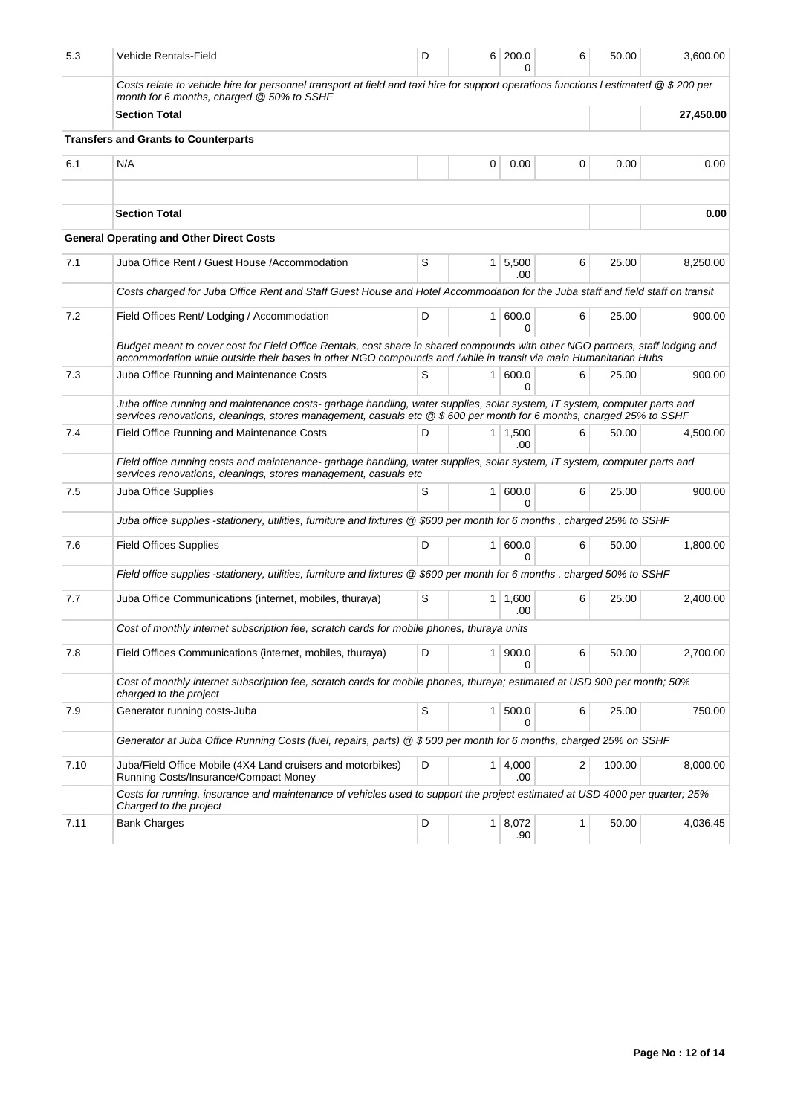| 5.3  | Vehicle Rentals-Field                                                                                                                                                                                                                             | D |                | 6 200.0<br>U | 6            | 50.00  | 3,600.00  |  |
|------|---------------------------------------------------------------------------------------------------------------------------------------------------------------------------------------------------------------------------------------------------|---|----------------|--------------|--------------|--------|-----------|--|
|      | Costs relate to vehicle hire for personnel transport at field and taxi hire for support operations functions I estimated @ \$200 per<br>month for 6 months, charged @ 50% to SSHF                                                                 |   |                |              |              |        |           |  |
|      | <b>Section Total</b>                                                                                                                                                                                                                              |   |                |              |              |        | 27,450.00 |  |
|      | <b>Transfers and Grants to Counterparts</b>                                                                                                                                                                                                       |   |                |              |              |        |           |  |
| 6.1  | N/A                                                                                                                                                                                                                                               |   | 0              | 0.00         | 0            | 0.00   | 0.00      |  |
|      | <b>Section Total</b>                                                                                                                                                                                                                              |   |                |              |              |        | 0.00      |  |
|      | <b>General Operating and Other Direct Costs</b>                                                                                                                                                                                                   |   |                |              |              |        |           |  |
|      |                                                                                                                                                                                                                                                   |   |                |              |              |        |           |  |
| 7.1  | Juba Office Rent / Guest House /Accommodation                                                                                                                                                                                                     | S | 1              | 5,500<br>.00 | 6            | 25.00  | 8,250.00  |  |
|      | Costs charged for Juba Office Rent and Staff Guest House and Hotel Accommodation for the Juba staff and field staff on transit                                                                                                                    |   |                |              |              |        |           |  |
| 7.2  | Field Offices Rent/ Lodging / Accommodation                                                                                                                                                                                                       | D | $\mathbf{1}$   | 600.0<br>0   | 6            | 25.00  | 900.00    |  |
|      | Budget meant to cover cost for Field Office Rentals, cost share in shared compounds with other NGO partners, staff lodging and<br>accommodation while outside their bases in other NGO compounds and /while in transit via main Humanitarian Hubs |   |                |              |              |        |           |  |
| 7.3  | Juba Office Running and Maintenance Costs                                                                                                                                                                                                         | S | 1              | 600.0<br>0   | 6            | 25.00  | 900.00    |  |
|      | Juba office running and maintenance costs-garbage handling, water supplies, solar system, IT system, computer parts and<br>services renovations, cleanings, stores management, casuals etc @ \$600 per month for 6 months, charged 25% to SSHF    |   |                |              |              |        |           |  |
| 7.4  | Field Office Running and Maintenance Costs                                                                                                                                                                                                        | D | 1              | 1,500<br>.00 | 6            | 50.00  | 4,500.00  |  |
|      | Field office running costs and maintenance- garbage handling, water supplies, solar system, IT system, computer parts and<br>services renovations, cleanings, stores management, casuals etc                                                      |   |                |              |              |        |           |  |
| 7.5  | Juba Office Supplies                                                                                                                                                                                                                              | S | $\mathbf{1}$   | 600.0<br>U   | 6            | 25.00  | 900.00    |  |
|      | Juba office supplies -stationery, utilities, furniture and fixtures @ \$600 per month for 6 months, charged 25% to SSHF                                                                                                                           |   |                |              |              |        |           |  |
| 7.6  | <b>Field Offices Supplies</b>                                                                                                                                                                                                                     | D | $\mathbf{1}$   | 600.0<br>0   | 6            | 50.00  | 1,800.00  |  |
|      | Field office supplies -stationery, utilities, furniture and fixtures @ \$600 per month for 6 months, charged 50% to SSHF                                                                                                                          |   |                |              |              |        |           |  |
| 7.7  | Juba Office Communications (internet, mobiles, thuraya)                                                                                                                                                                                           | S | 1 <sup>1</sup> | 1,600<br>.00 | 6            | 25.00  | 2,400.00  |  |
|      | Cost of monthly internet subscription fee, scratch cards for mobile phones, thuraya units                                                                                                                                                         |   |                |              |              |        |           |  |
| 7.8  | Field Offices Communications (internet, mobiles, thuraya)                                                                                                                                                                                         | D | 1              | 900.0<br>0   | 6            | 50.00  | 2,700.00  |  |
|      | Cost of monthly internet subscription fee, scratch cards for mobile phones, thuraya; estimated at USD 900 per month; 50%<br>charged to the project                                                                                                |   |                |              |              |        |           |  |
| 7.9  | Generator running costs-Juba                                                                                                                                                                                                                      | S | $\mathbf{1}$   | 500.0<br>0   | 6            | 25.00  | 750.00    |  |
|      | Generator at Juba Office Running Costs (fuel, repairs, parts) @ \$500 per month for 6 months, charged 25% on SSHF                                                                                                                                 |   |                |              |              |        |           |  |
| 7.10 | Juba/Field Office Mobile (4X4 Land cruisers and motorbikes)<br>Running Costs/Insurance/Compact Money                                                                                                                                              | D | 1 <sup>1</sup> | 4,000<br>.00 | 2            | 100.00 | 8,000.00  |  |
|      | Costs for running, insurance and maintenance of vehicles used to support the project estimated at USD 4000 per quarter; 25%<br>Charged to the project                                                                                             |   |                |              |              |        |           |  |
| 7.11 | <b>Bank Charges</b>                                                                                                                                                                                                                               | D | 1              | 8,072<br>.90 | $\mathbf{1}$ | 50.00  | 4,036.45  |  |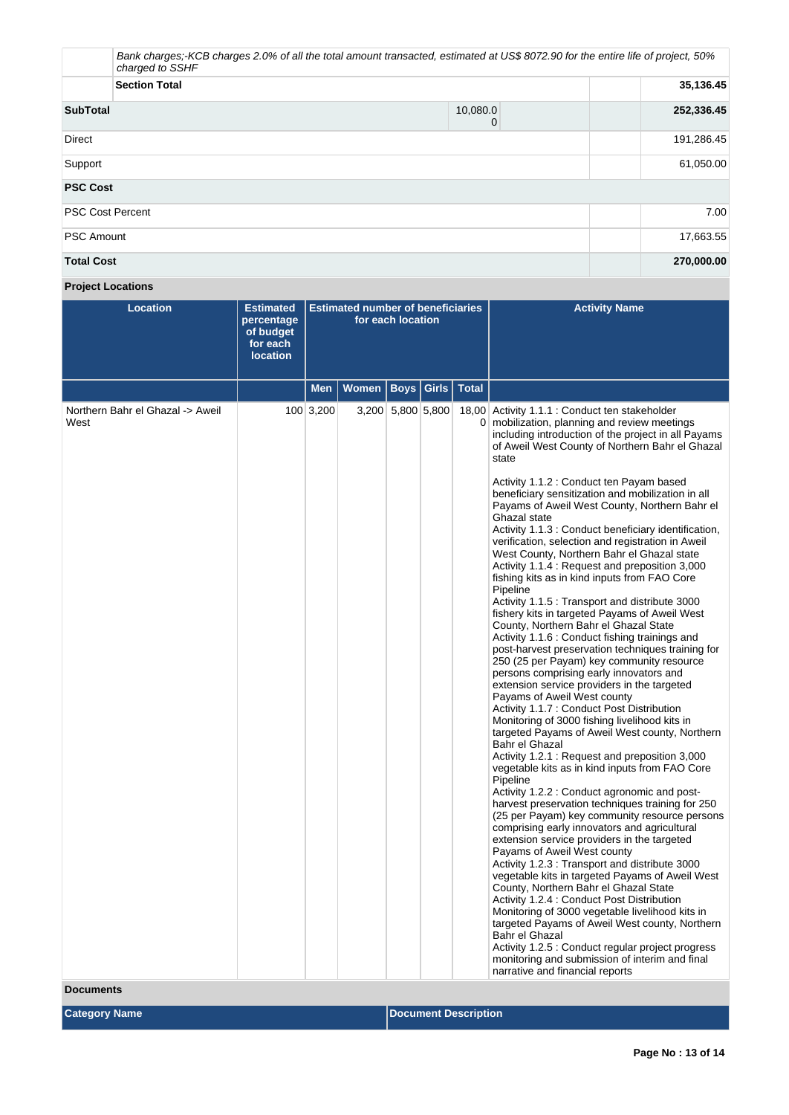|                         | Bank charges;-KCB charges 2.0% of all the total amount transacted, estimated at US\$ 8072.90 for the entire life of project, 50%<br>charged to SSHF |               |            |  |  |  |  |
|-------------------------|-----------------------------------------------------------------------------------------------------------------------------------------------------|---------------|------------|--|--|--|--|
|                         | 35,136.45<br><b>Section Total</b>                                                                                                                   |               |            |  |  |  |  |
| <b>SubTotal</b>         |                                                                                                                                                     | 10,080.0<br>0 | 252,336.45 |  |  |  |  |
| <b>Direct</b>           |                                                                                                                                                     |               | 191,286.45 |  |  |  |  |
| Support                 | 61,050.00                                                                                                                                           |               |            |  |  |  |  |
| <b>PSC Cost</b>         |                                                                                                                                                     |               |            |  |  |  |  |
| <b>PSC Cost Percent</b> |                                                                                                                                                     |               | 7.00       |  |  |  |  |
| <b>PSC Amount</b>       | 17,663.55                                                                                                                                           |               |            |  |  |  |  |
| <b>Total Cost</b>       |                                                                                                                                                     |               | 270,000.00 |  |  |  |  |

# **Project Locations**

| <b>Location</b>                          | <b>Estimated</b><br>percentage<br>of budget<br>for each<br><b>location</b> | <b>Estimated number of beneficiaries</b><br>for each location |       |                   |  |               | <b>Activity Name</b>                                                                                                                                                                                                                                                                                                                                                                                                                                                                                                                                                                                                                                                                                                                                                                                                                                                                                                                                                                                                                                                                                                                                                                                                                                                                                                                                                                                                                                                                                                                                                                                                                                                                                                                                                                                                                                                                                                                                                                                                                                                                                                    |
|------------------------------------------|----------------------------------------------------------------------------|---------------------------------------------------------------|-------|-------------------|--|---------------|-------------------------------------------------------------------------------------------------------------------------------------------------------------------------------------------------------------------------------------------------------------------------------------------------------------------------------------------------------------------------------------------------------------------------------------------------------------------------------------------------------------------------------------------------------------------------------------------------------------------------------------------------------------------------------------------------------------------------------------------------------------------------------------------------------------------------------------------------------------------------------------------------------------------------------------------------------------------------------------------------------------------------------------------------------------------------------------------------------------------------------------------------------------------------------------------------------------------------------------------------------------------------------------------------------------------------------------------------------------------------------------------------------------------------------------------------------------------------------------------------------------------------------------------------------------------------------------------------------------------------------------------------------------------------------------------------------------------------------------------------------------------------------------------------------------------------------------------------------------------------------------------------------------------------------------------------------------------------------------------------------------------------------------------------------------------------------------------------------------------------|
|                                          |                                                                            | <b>Men</b>                                                    | Women | Boys              |  | Girls   Total |                                                                                                                                                                                                                                                                                                                                                                                                                                                                                                                                                                                                                                                                                                                                                                                                                                                                                                                                                                                                                                                                                                                                                                                                                                                                                                                                                                                                                                                                                                                                                                                                                                                                                                                                                                                                                                                                                                                                                                                                                                                                                                                         |
| Northern Bahr el Ghazal -> Aweil<br>West |                                                                            | 100 3,200                                                     |       | 3,200 5,800 5,800 |  |               | 18,00 Activity 1.1.1 : Conduct ten stakeholder<br>0 mobilization, planning and review meetings<br>including introduction of the project in all Payams<br>of Aweil West County of Northern Bahr el Ghazal<br>state<br>Activity 1.1.2 : Conduct ten Payam based<br>beneficiary sensitization and mobilization in all<br>Payams of Aweil West County, Northern Bahr el<br>Ghazal state<br>Activity 1.1.3 : Conduct beneficiary identification,<br>verification, selection and registration in Aweil<br>West County, Northern Bahr el Ghazal state<br>Activity 1.1.4 : Request and preposition 3,000<br>fishing kits as in kind inputs from FAO Core<br>Pipeline<br>Activity 1.1.5 : Transport and distribute 3000<br>fishery kits in targeted Payams of Aweil West<br>County, Northern Bahr el Ghazal State<br>Activity 1.1.6 : Conduct fishing trainings and<br>post-harvest preservation techniques training for<br>250 (25 per Payam) key community resource<br>persons comprising early innovators and<br>extension service providers in the targeted<br>Payams of Aweil West county<br>Activity 1.1.7: Conduct Post Distribution<br>Monitoring of 3000 fishing livelihood kits in<br>targeted Payams of Aweil West county, Northern<br>Bahr el Ghazal<br>Activity 1.2.1 : Request and preposition 3,000<br>vegetable kits as in kind inputs from FAO Core<br>Pipeline<br>Activity 1.2.2 : Conduct agronomic and post-<br>harvest preservation techniques training for 250<br>(25 per Payam) key community resource persons<br>comprising early innovators and agricultural<br>extension service providers in the targeted<br>Payams of Aweil West county<br>Activity 1.2.3 : Transport and distribute 3000<br>vegetable kits in targeted Payams of Aweil West<br>County, Northern Bahr el Ghazal State<br>Activity 1.2.4 : Conduct Post Distribution<br>Monitoring of 3000 vegetable livelihood kits in<br>targeted Payams of Aweil West county, Northern<br>Bahr el Ghazal<br>Activity 1.2.5 : Conduct regular project progress<br>monitoring and submission of interim and final<br>narrative and financial reports |

**Documents**

**Category Name Discription Description**